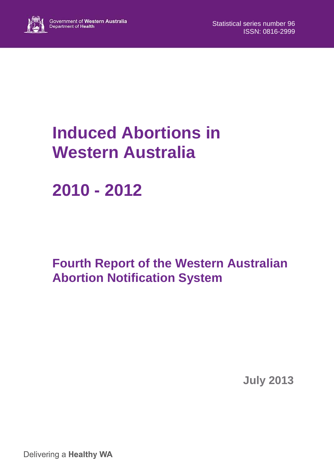# **Induced Abortions in Western Australia**

**2010 - 2012** 

**Fourth Report of the Western Australian Abortion Notification System** 

**July 2013** 

Delivering a Healthy WA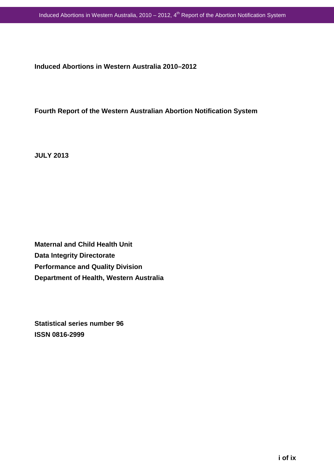**Induced Abortions in Western Australia 2010–2012** 

**Fourth Report of the Western Australian Abortion Notification System** 

**JULY 2013** 

**Maternal and Child Health Unit Data Integrity Directorate Performance and Quality Division Department of Health, Western Australia** 

**Statistical series number 96 ISSN 0816-2999**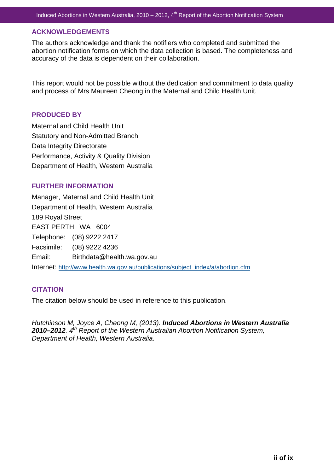#### **ACKNOWLEDGEMENTS**

The authors acknowledge and thank the notifiers who completed and submitted the abortion notification forms on which the data collection is based. The completeness and accuracy of the data is dependent on their collaboration.

This report would not be possible without the dedication and commitment to data quality and process of Mrs Maureen Cheong in the Maternal and Child Health Unit.

### **PRODUCED BY**

Maternal and Child Health Unit Statutory and Non-Admitted Branch Data Integrity Directorate Performance, Activity & Quality Division Department of Health, Western Australia

#### **FURTHER INFORMATION**

Manager, Maternal and Child Health Unit Department of Health, Western Australia 189 Royal Street EAST PERTH WA 6004 Telephone: (08) 9222 2417 Facsimile: (08) 9222 4236 Email: Birthdata@health.wa.gov.au Internet: http://www.health.wa.gov.au/publications/subject\_index/a/abortion.cfm

#### **CITATION**

The citation below should be used in reference to this publication.

Hutchinson M, Joyce A, Cheong M, (2013). **Induced Abortions in Western Australia 2010–2012.** 4<sup>th</sup> Report of the Western Australian Abortion Notification System, Department of Health, Western Australia.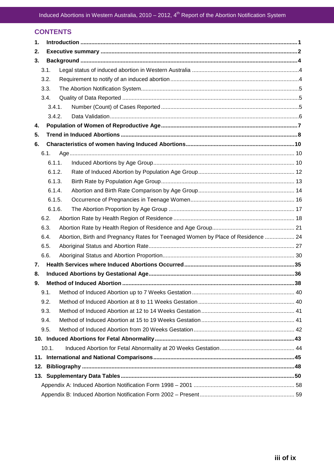# **CONTENTS**

| 1.  |        |                                                                                  |  |  |  |  |  |  |  |
|-----|--------|----------------------------------------------------------------------------------|--|--|--|--|--|--|--|
| 2.  |        |                                                                                  |  |  |  |  |  |  |  |
| 3.  |        |                                                                                  |  |  |  |  |  |  |  |
|     | 3.1.   |                                                                                  |  |  |  |  |  |  |  |
|     | 3.2.   |                                                                                  |  |  |  |  |  |  |  |
|     | 3.3.   |                                                                                  |  |  |  |  |  |  |  |
|     | 3.4.   |                                                                                  |  |  |  |  |  |  |  |
|     | 3.4.1. |                                                                                  |  |  |  |  |  |  |  |
|     | 3.4.2. |                                                                                  |  |  |  |  |  |  |  |
| 4.  |        |                                                                                  |  |  |  |  |  |  |  |
| 5.  |        |                                                                                  |  |  |  |  |  |  |  |
| 6.  |        |                                                                                  |  |  |  |  |  |  |  |
|     | 6.1.   |                                                                                  |  |  |  |  |  |  |  |
|     | 6.1.1. |                                                                                  |  |  |  |  |  |  |  |
|     | 6.1.2. |                                                                                  |  |  |  |  |  |  |  |
|     | 6.1.3. |                                                                                  |  |  |  |  |  |  |  |
|     | 6.1.4. |                                                                                  |  |  |  |  |  |  |  |
|     | 6.1.5. |                                                                                  |  |  |  |  |  |  |  |
|     | 6.1.6. |                                                                                  |  |  |  |  |  |  |  |
|     | 6.2.   |                                                                                  |  |  |  |  |  |  |  |
|     | 6.3.   |                                                                                  |  |  |  |  |  |  |  |
|     | 6.4.   | Abortion, Birth and Pregnancy Rates for Teenaged Women by Place of Residence  24 |  |  |  |  |  |  |  |
|     | 6.5.   |                                                                                  |  |  |  |  |  |  |  |
|     | 6.6.   |                                                                                  |  |  |  |  |  |  |  |
| 7.  |        |                                                                                  |  |  |  |  |  |  |  |
| 8.  |        |                                                                                  |  |  |  |  |  |  |  |
| 9.  |        |                                                                                  |  |  |  |  |  |  |  |
|     | 9.1.   |                                                                                  |  |  |  |  |  |  |  |
|     | 9.2.   |                                                                                  |  |  |  |  |  |  |  |
|     | 9.3.   |                                                                                  |  |  |  |  |  |  |  |
|     | 9.4.   |                                                                                  |  |  |  |  |  |  |  |
|     | 9.5.   |                                                                                  |  |  |  |  |  |  |  |
|     |        |                                                                                  |  |  |  |  |  |  |  |
|     | 10.1.  |                                                                                  |  |  |  |  |  |  |  |
|     |        |                                                                                  |  |  |  |  |  |  |  |
| 12. |        |                                                                                  |  |  |  |  |  |  |  |
|     |        |                                                                                  |  |  |  |  |  |  |  |
|     |        |                                                                                  |  |  |  |  |  |  |  |
|     |        |                                                                                  |  |  |  |  |  |  |  |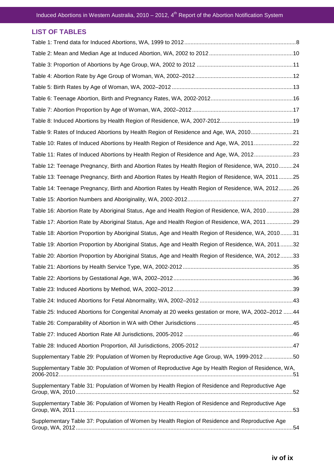# **LIST OF TABLES**

| Table 9: Rates of Induced Abortions by Health Region of Residence and Age, WA, 201021              |  |
|----------------------------------------------------------------------------------------------------|--|
| Table 10: Rates of Induced Abortions by Health Region of Residence and Age, WA, 201122             |  |
| Table 11: Rates of Induced Abortions by Health Region of Residence and Age, WA, 201223             |  |
| Table 12: Teenage Pregnancy, Birth and Abortion Rates by Health Region of Residence, WA, 201024    |  |
| Table 13: Teenage Pregnancy, Birth and Abortion Rates by Health Region of Residence, WA, 201125    |  |
| Table 14: Teenage Pregnancy, Birth and Abortion Rates by Health Region of Residence, WA, 201226    |  |
|                                                                                                    |  |
| Table 16: Abortion Rate by Aboriginal Status, Age and Health Region of Residence, WA, 201028       |  |
| Table 17: Abortion Rate by Aboriginal Status, Age and Health Region of Residence, WA, 201129       |  |
| Table 18: Abortion Proportion by Aboriginal Status, Age and Health Region of Residence, WA, 201031 |  |
| Table 19: Abortion Proportion by Aboriginal Status, Age and Health Region of Residence, WA, 201132 |  |
| Table 20: Abortion Proportion by Aboriginal Status, Age and Health Region of Residence, WA, 201233 |  |
|                                                                                                    |  |
|                                                                                                    |  |
|                                                                                                    |  |
|                                                                                                    |  |
| Table 25: Induced Abortions for Congenital Anomaly at 20 weeks gestation or more, WA, 2002-2012 44 |  |
|                                                                                                    |  |
|                                                                                                    |  |
|                                                                                                    |  |
| Supplementary Table 29: Population of Women by Reproductive Age Group, WA, 1999-201250             |  |
| Supplementary Table 30: Population of Women of Reproductive Age by Health Region of Residence, WA, |  |
| Supplementary Table 31: Population of Women by Health Region of Residence and Reproductive Age     |  |
| Supplementary Table 36: Population of Women by Health Region of Residence and Reproductive Age     |  |
| Supplementary Table 37: Population of Women by Health Region of Residence and Reproductive Age     |  |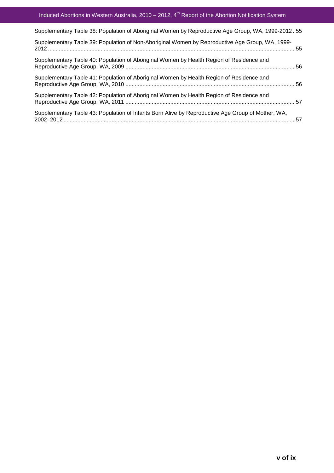# Induced Abortions in Western Australia, 2010 – 2012, 4<sup>th</sup> Report of the Abortion Notification System

| Supplementary Table 38: Population of Aboriginal Women by Reproductive Age Group, WA, 1999-2012. 55 |     |
|-----------------------------------------------------------------------------------------------------|-----|
| Supplementary Table 39: Population of Non-Aboriginal Women by Reproductive Age Group, WA, 1999-     |     |
| Supplementary Table 40: Population of Aboriginal Women by Health Region of Residence and            |     |
| Supplementary Table 41: Population of Aboriginal Women by Health Region of Residence and            |     |
| Supplementary Table 42: Population of Aboriginal Women by Health Region of Residence and            |     |
| Supplementary Table 43: Population of Infants Born Alive by Reproductive Age Group of Mother, WA,   | -57 |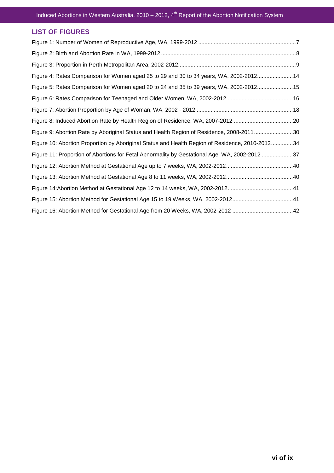# **LIST OF FIGURES**

| Figure 4: Rates Comparison for Women aged 25 to 29 and 30 to 34 years, WA, 2002-2012 14         |  |
|-------------------------------------------------------------------------------------------------|--|
| Figure 5: Rates Comparison for Women aged 20 to 24 and 35 to 39 years, WA, 2002-201215          |  |
|                                                                                                 |  |
|                                                                                                 |  |
| Figure 8: Induced Abortion Rate by Health Region of Residence, WA, 2007-2012 20                 |  |
| Figure 9: Abortion Rate by Aboriginal Status and Health Region of Residence, 2008-201130        |  |
| Figure 10: Abortion Proportion by Aboriginal Status and Health Region of Residence, 2010-201234 |  |
| Figure 11: Proportion of Abortions for Fetal Abnormality by Gestational Age, WA, 2002-2012 37   |  |
|                                                                                                 |  |
|                                                                                                 |  |
|                                                                                                 |  |
|                                                                                                 |  |
| Figure 16: Abortion Method for Gestational Age from 20 Weeks, WA, 2002-2012 42                  |  |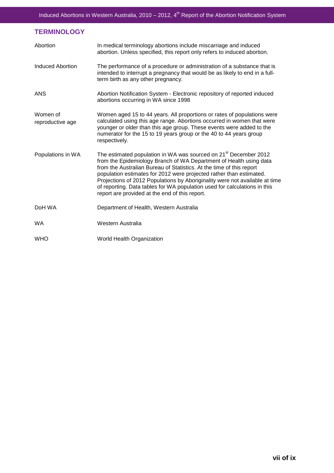# **TERMINOLOGY**  Abortion **In medical terminology abortions include miscarriage and induced** abortion. Unless specified, this report only refers to induced abortion. Induced Abortion The performance of a procedure or administration of a substance that is intended to interrupt a pregnancy that would be as likely to end in a fullterm birth as any other pregnancy. ANS Abortion Notification System - Electronic repository of reported induced abortions occurring in WA since 1998 Women of reproductive age Women aged 15 to 44 years. All proportions or rates of populations were calculated using this age range. Abortions occurred in women that were younger or older than this age group. These events were added to the numerator for the 15 to 19 years group or the 40 to 44 years group respectively. Populations in WA The estimated population in WA was sourced on 21<sup>st</sup> December 2012 from the Epidemiology Branch of WA Department of Health using data from the Australian Bureau of Statistics. At the time of this report population estimates for 2012 were projected rather than estimated. Projections of 2012 Populations by Aboriginality were not available at time of reporting. Data tables for WA population used for calculations in this report are provided at the end of this report. DoH WA Department of Health, Western Australia WA Western Australia WHO World Health Organization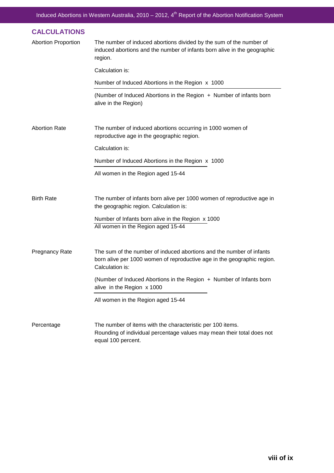| <b>CALCULATIONS</b>        |                                                                                                                                                                    |  |  |  |  |
|----------------------------|--------------------------------------------------------------------------------------------------------------------------------------------------------------------|--|--|--|--|
| <b>Abortion Proportion</b> | The number of induced abortions divided by the sum of the number of<br>induced abortions and the number of infants born alive in the geographic<br>region.         |  |  |  |  |
|                            | Calculation is:                                                                                                                                                    |  |  |  |  |
|                            | Number of Induced Abortions in the Region x 1000                                                                                                                   |  |  |  |  |
|                            | (Number of Induced Abortions in the Region + Number of infants born<br>alive in the Region)                                                                        |  |  |  |  |
| <b>Abortion Rate</b>       | The number of induced abortions occurring in 1000 women of<br>reproductive age in the geographic region.                                                           |  |  |  |  |
|                            | Calculation is:                                                                                                                                                    |  |  |  |  |
|                            | Number of Induced Abortions in the Region x 1000                                                                                                                   |  |  |  |  |
|                            | All women in the Region aged 15-44                                                                                                                                 |  |  |  |  |
| <b>Birth Rate</b>          | The number of infants born alive per 1000 women of reproductive age in<br>the geographic region. Calculation is:                                                   |  |  |  |  |
|                            | Number of Infants born alive in the Region x 1000<br>All women in the Region aged 15-44                                                                            |  |  |  |  |
| <b>Pregnancy Rate</b>      | The sum of the number of induced abortions and the number of infants<br>born alive per 1000 women of reproductive age in the geographic region.<br>Calculation is: |  |  |  |  |
|                            | (Number of Induced Abortions in the Region + Number of Infants born<br>alive in the Region x 1000                                                                  |  |  |  |  |
|                            | All women in the Region aged 15-44                                                                                                                                 |  |  |  |  |
| Percentage                 | The number of items with the characteristic per 100 items.<br>Rounding of individual percentage values may mean their total does not<br>equal 100 percent.         |  |  |  |  |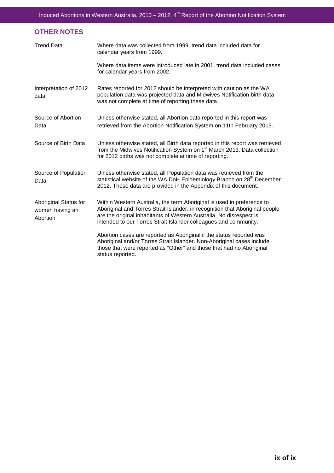# **OTHER NOTES**

| <b>Trend Data</b>                                    | Where data was collected from 1999, trend data included data for<br>calendar years from 1999.                                                                                                                                                                                                     |  |  |  |  |  |
|------------------------------------------------------|---------------------------------------------------------------------------------------------------------------------------------------------------------------------------------------------------------------------------------------------------------------------------------------------------|--|--|--|--|--|
|                                                      | Where data items were introduced late in 2001, trend data included cases<br>for calendar years from 2002.                                                                                                                                                                                         |  |  |  |  |  |
| Interpretation of 2012<br>data                       | Rates reported for 2012 should be interpreted with caution as the WA<br>population data was projected data and Midwives Notification birth data<br>was not complete at time of reporting these data.                                                                                              |  |  |  |  |  |
| Source of Abortion<br>Data                           | Unless otherwise stated, all Abortion data reported in this report was<br>retrieved from the Abortion Notification System on 11th February 2013.                                                                                                                                                  |  |  |  |  |  |
| Source of Birth Data                                 | Unless otherwise stated, all Birth data reported in this report was retrieved<br>from the Midwives Notification System on 1 <sup>st</sup> March 2013. Data collection<br>for 2012 births was not complete at time of reporting.                                                                   |  |  |  |  |  |
| Source of Population<br>Data                         | Unless otherwise stated, all Population data was retrieved from the<br>statistical website of the WA DoH Epidemiology Branch on 28 <sup>th</sup> December<br>2012. These data are provided in the Appendix of this document.                                                                      |  |  |  |  |  |
| Aboriginal Status for<br>women having an<br>Abortion | Within Western Australia, the term Aboriginal is used in preference to<br>Aboriginal and Torres Strait Islander, in recognition that Aboriginal people<br>are the original inhabitants of Western Australia. No disrespect is<br>intended to our Torres Strait Islander colleagues and community. |  |  |  |  |  |
|                                                      | Abortion cases are reported as Aboriginal if the status reported was<br>Aboriginal and/or Torres Strait Islander. Non-Aboriginal cases include<br>those that were reported as "Other" and those that had no Aboriginal<br>status reported.                                                        |  |  |  |  |  |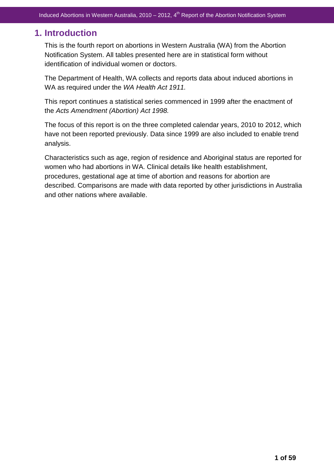# **1. Introduction**

This is the fourth report on abortions in Western Australia (WA) from the Abortion Notification System. All tables presented here are in statistical form without identification of individual women or doctors.

The Department of Health, WA collects and reports data about induced abortions in WA as required under the WA Health Act 1911.

This report continues a statistical series commenced in 1999 after the enactment of the Acts Amendment (Abortion) Act 1998.

The focus of this report is on the three completed calendar years, 2010 to 2012, which have not been reported previously. Data since 1999 are also included to enable trend analysis.

Characteristics such as age, region of residence and Aboriginal status are reported for women who had abortions in WA. Clinical details like health establishment, procedures, gestational age at time of abortion and reasons for abortion are described. Comparisons are made with data reported by other jurisdictions in Australia and other nations where available.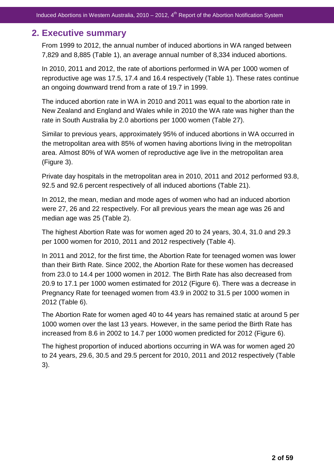# **2. Executive summary**

From 1999 to 2012, the annual number of induced abortions in WA ranged between 7,829 and 8,885 (Table 1), an average annual number of 8,334 induced abortions.

In 2010, 2011 and 2012, the rate of abortions performed in WA per 1000 women of reproductive age was 17.5, 17.4 and 16.4 respectively (Table 1). These rates continue an ongoing downward trend from a rate of 19.7 in 1999.

The induced abortion rate in WA in 2010 and 2011 was equal to the abortion rate in New Zealand and England and Wales while in 2010 the WA rate was higher than the rate in South Australia by 2.0 abortions per 1000 women (Table 27).

Similar to previous years, approximately 95% of induced abortions in WA occurred in the metropolitan area with 85% of women having abortions living in the metropolitan area. Almost 80% of WA women of reproductive age live in the metropolitan area (Figure 3).

Private day hospitals in the metropolitan area in 2010, 2011 and 2012 performed 93.8, 92.5 and 92.6 percent respectively of all induced abortions (Table 21).

In 2012, the mean, median and mode ages of women who had an induced abortion were 27, 26 and 22 respectively. For all previous years the mean age was 26 and median age was 25 (Table 2).

The highest Abortion Rate was for women aged 20 to 24 years, 30.4, 31.0 and 29.3 per 1000 women for 2010, 2011 and 2012 respectively (Table 4).

In 2011 and 2012, for the first time, the Abortion Rate for teenaged women was lower than their Birth Rate. Since 2002, the Abortion Rate for these women has decreased from 23.0 to 14.4 per 1000 women in 2012. The Birth Rate has also decreased from 20.9 to 17.1 per 1000 women estimated for 2012 (Figure 6). There was a decrease in Pregnancy Rate for teenaged women from 43.9 in 2002 to 31.5 per 1000 women in 2012 (Table 6).

The Abortion Rate for women aged 40 to 44 years has remained static at around 5 per 1000 women over the last 13 years. However, in the same period the Birth Rate has increased from 8.6 in 2002 to 14.7 per 1000 women predicted for 2012 (Figure 6).

The highest proportion of induced abortions occurring in WA was for women aged 20 to 24 years, 29.6, 30.5 and 29.5 percent for 2010, 2011 and 2012 respectively (Table 3).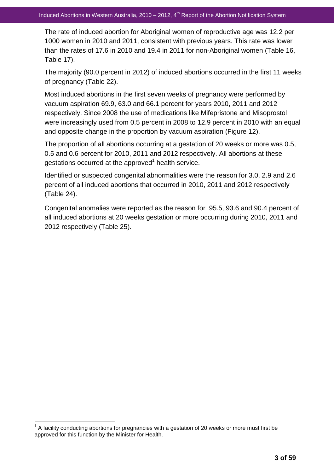The rate of induced abortion for Aboriginal women of reproductive age was 12.2 per 1000 women in 2010 and 2011, consistent with previous years. This rate was lower than the rates of 17.6 in 2010 and 19.4 in 2011 for non-Aboriginal women (Table 16, Table 17).

The majority (90.0 percent in 2012) of induced abortions occurred in the first 11 weeks of pregnancy (Table 22).

Most induced abortions in the first seven weeks of pregnancy were performed by vacuum aspiration 69.9, 63.0 and 66.1 percent for years 2010, 2011 and 2012 respectively. Since 2008 the use of medications like Mifepristone and Misoprostol were increasingly used from 0.5 percent in 2008 to 12.9 percent in 2010 with an equal and opposite change in the proportion by vacuum aspiration (Figure 12).

The proportion of all abortions occurring at a gestation of 20 weeks or more was 0.5, 0.5 and 0.6 percent for 2010, 2011 and 2012 respectively. All abortions at these gestations occurred at the approved<sup>1</sup> health service.

Identified or suspected congenital abnormalities were the reason for 3.0, 2.9 and 2.6 percent of all induced abortions that occurred in 2010, 2011 and 2012 respectively (Table 24).

Congenital anomalies were reported as the reason for 95.5, 93.6 and 90.4 percent of all induced abortions at 20 weeks gestation or more occurring during 2010, 2011 and 2012 respectively (Table 25).

 $\overline{a}$ 

 $1$  A facility conducting abortions for pregnancies with a gestation of 20 weeks or more must first be approved for this function by the Minister for Health.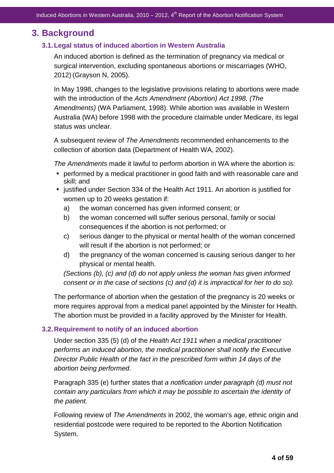# **3. Background**

### **3.1. Legal status of induced abortion in Western Australia**

An induced abortion is defined as the termination of pregnancy via medical or surgical intervention, excluding spontaneous abortions or miscarriages (WHO, 2012) (Grayson N, 2005).

In May 1998, changes to the legislative provisions relating to abortions were made with the introduction of the Acts Amendment (Abortion) Act 1998, (The Amendments) (WA Parliament, 1998). While abortion was available in Western Australia (WA) before 1998 with the procedure claimable under Medicare, its legal status was unclear.

A subsequent review of The Amendments recommended enhancements to the collection of abortion data (Department of Health WA, 2002).

The Amendments made it lawful to perform abortion in WA where the abortion is:

- performed by a medical practitioner in good faith and with reasonable care and skill; and
- justified under Section 334 of the Health Act 1911. An abortion is justified for women up to 20 weeks gestation if:
	- a) the woman concerned has given informed consent; or
	- b) the woman concerned will suffer serious personal, family or social consequences if the abortion is not performed; or
	- c) serious danger to the physical or mental health of the woman concerned will result if the abortion is not performed; or
	- d) the pregnancy of the woman concerned is causing serious danger to her physical or mental health.

(Sections (b), (c) and (d) do not apply unless the woman has given informed consent or in the case of sections (c) and (d) it is impractical for her to do so).

The performance of abortion when the gestation of the pregnancy is 20 weeks or more requires approval from a medical panel appointed by the Minister for Health. The abortion must be provided in a facility approved by the Minister for Health.

### **3.2. Requirement to notify of an induced abortion**

Under section 335 (5) (d) of the Health Act 1911 when a medical practitioner performs an induced abortion, the medical practitioner shall notify the Executive Director Public Health of the fact in the prescribed form within 14 days of the abortion being performed.

Paragraph 335 (e) further states that a notification under paragraph (d) must not contain any particulars from which it may be possible to ascertain the identity of the patient.

Following review of The Amendments in 2002, the woman's age, ethnic origin and residential postcode were required to be reported to the Abortion Notification System.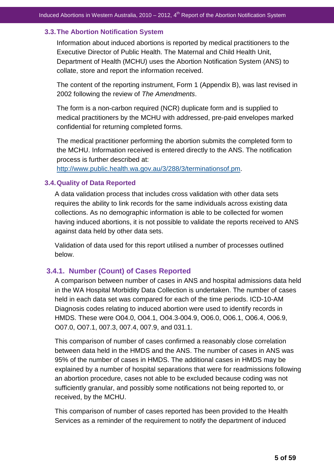### **3.3. The Abortion Notification System**

Information about induced abortions is reported by medical practitioners to the Executive Director of Public Health. The Maternal and Child Health Unit, Department of Health (MCHU) uses the Abortion Notification System (ANS) to collate, store and report the information received.

The content of the reporting instrument, Form 1 (Appendix B), was last revised in 2002 following the review of The Amendments.

The form is a non-carbon required (NCR) duplicate form and is supplied to medical practitioners by the MCHU with addressed, pre-paid envelopes marked confidential for returning completed forms.

The medical practitioner performing the abortion submits the completed form to the MCHU. Information received is entered directly to the ANS. The notification process is further described at:

http://www.public.health.wa.gov.au/3/288/3/terminationsof.pm.

### **3.4. Quality of Data Reported**

A data validation process that includes cross validation with other data sets requires the ability to link records for the same individuals across existing data collections. As no demographic information is able to be collected for women having induced abortions, it is not possible to validate the reports received to ANS against data held by other data sets.

Validation of data used for this report utilised a number of processes outlined below.

# **3.4.1. Number (Count) of Cases Reported**

A comparison between number of cases in ANS and hospital admissions data held in the WA Hospital Morbidity Data Collection is undertaken. The number of cases held in each data set was compared for each of the time periods. ICD-10-AM Diagnosis codes relating to induced abortion were used to identify records in HMDS. These were O04.0, O04.1, O04.3-004.9, O06.0, O06.1, O06.4, O06.9, O07.0, O07.1, 007.3, 007.4, 007.9, and 031.1.

This comparison of number of cases confirmed a reasonably close correlation between data held in the HMDS and the ANS. The number of cases in ANS was 95% of the number of cases in HMDS. The additional cases in HMDS may be explained by a number of hospital separations that were for readmissions following an abortion procedure, cases not able to be excluded because coding was not sufficiently granular, and possibly some notifications not being reported to, or received, by the MCHU.

This comparison of number of cases reported has been provided to the Health Services as a reminder of the requirement to notify the department of induced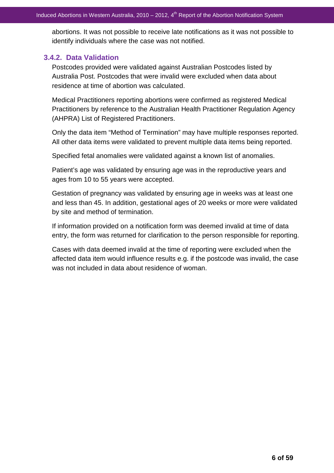abortions. It was not possible to receive late notifications as it was not possible to identify individuals where the case was not notified.

### **3.4.2. Data Validation**

Postcodes provided were validated against Australian Postcodes listed by Australia Post. Postcodes that were invalid were excluded when data about residence at time of abortion was calculated.

Medical Practitioners reporting abortions were confirmed as registered Medical Practitioners by reference to the Australian Health Practitioner Regulation Agency (AHPRA) List of Registered Practitioners.

Only the data item "Method of Termination" may have multiple responses reported. All other data items were validated to prevent multiple data items being reported.

Specified fetal anomalies were validated against a known list of anomalies.

Patient's age was validated by ensuring age was in the reproductive years and ages from 10 to 55 years were accepted.

Gestation of pregnancy was validated by ensuring age in weeks was at least one and less than 45. In addition, gestational ages of 20 weeks or more were validated by site and method of termination.

If information provided on a notification form was deemed invalid at time of data entry, the form was returned for clarification to the person responsible for reporting.

Cases with data deemed invalid at the time of reporting were excluded when the affected data item would influence results e.g. if the postcode was invalid, the case was not included in data about residence of woman.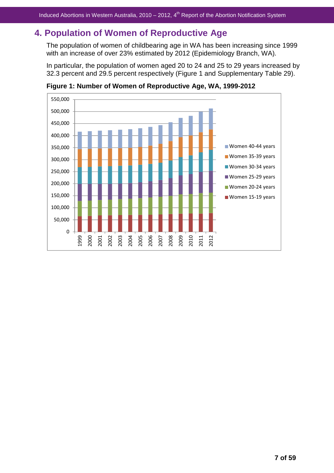# **4. Population of Women of Reproductive Age**

The population of women of childbearing age in WA has been increasing since 1999 with an increase of over 23% estimated by 2012 (Epidemiology Branch, WA).

In particular, the population of women aged 20 to 24 and 25 to 29 years increased by 32.3 percent and 29.5 percent respectively (Figure 1 and Supplementary Table 29).



**Figure 1: Number of Women of Reproductive Age, WA, 1999-2012**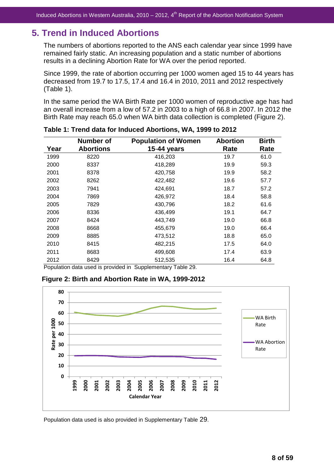# **5. Trend in Induced Abortions**

The numbers of abortions reported to the ANS each calendar year since 1999 have remained fairly static. An increasing population and a static number of abortions results in a declining Abortion Rate for WA over the period reported.

Since 1999, the rate of abortion occurring per 1000 women aged 15 to 44 years has decreased from 19.7 to 17.5, 17.4 and 16.4 in 2010, 2011 and 2012 respectively (Table 1).

In the same period the WA Birth Rate per 1000 women of reproductive age has had an overall increase from a low of 57.2 in 2003 to a high of 66.8 in 2007. In 2012 the Birth Rate may reach 65.0 when WA birth data collection is completed (Figure 2).

| Number of |                  | <b>Population of Women</b> | <b>Abortion</b> | <b>Birth</b> |
|-----------|------------------|----------------------------|-----------------|--------------|
| Year      | <b>Abortions</b> | 15-44 years                | Rate            | Rate         |
| 1999      | 8220             | 416,203                    | 19.7            | 61.0         |
| 2000      | 8337             | 418,289                    | 19.9            | 59.3         |
| 2001      | 8378             | 420,758                    | 19.9            | 58.2         |
| 2002      | 8262             | 422,482                    | 19.6            | 57.7         |
| 2003      | 7941             | 424,691                    | 18.7            | 57.2         |
| 2004      | 7869             | 426,972                    | 18.4            | 58.8         |
| 2005      | 7829             | 430,796                    | 18.2            | 61.6         |
| 2006      | 8336             | 436,499                    | 19.1            | 64.7         |
| 2007      | 8424             | 443,749                    | 19.0            | 66.8         |
| 2008      | 8668             | 455,679                    | 19.0            | 66.4         |
| 2009      | 8885             | 473,512                    | 18.8            | 65.0         |
| 2010      | 8415             | 482,215                    | 17.5            | 64.0         |
| 2011      | 8683             | 499,608                    | 17.4            | 63.9         |
| 2012      | 8429             | 512,535                    | 16.4            | 64.8         |

Population data used is provided in Supplementary Table 29.

### **Figure 2: Birth and Abortion Rate in WA, 1999-2012**



Population data used is also provided in Supplementary Table 29.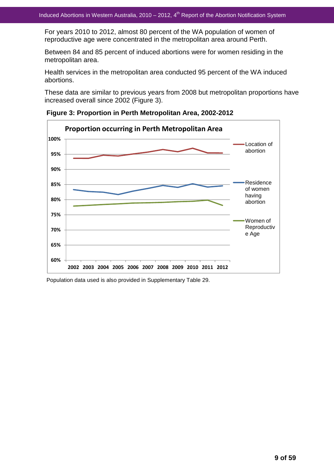For years 2010 to 2012, almost 80 percent of the WA population of women of reproductive age were concentrated in the metropolitan area around Perth.

Between 84 and 85 percent of induced abortions were for women residing in the metropolitan area.

Health services in the metropolitan area conducted 95 percent of the WA induced abortions.

These data are similar to previous years from 2008 but metropolitan proportions have increased overall since 2002 (Figure 3).

60% 65% 70% 75% 80% 85% 90% 95% 100% 2002 2003 2004 2005 2006 2007 2008 2009 2010 2011 2012 Proportion occurring in Perth Metropolitan Area Location of abortion Residence of women having abortion Women of Reproductiv e Age

**Figure 3: Proportion in Perth Metropolitan Area, 2002-2012** 

Population data used is also provided in Supplementary Table 29.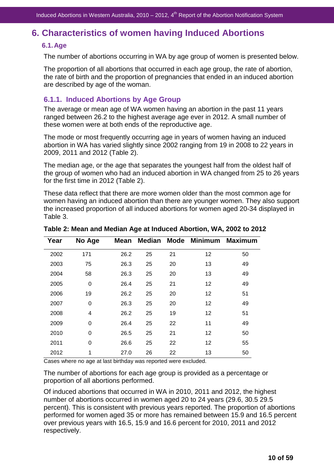# **6. Characteristics of women having Induced Abortions**

### **6.1. Age**

The number of abortions occurring in WA by age group of women is presented below.

The proportion of all abortions that occurred in each age group, the rate of abortion, the rate of birth and the proportion of pregnancies that ended in an induced abortion are described by age of the woman.

### **6.1.1. Induced Abortions by Age Group**

The average or mean age of WA women having an abortion in the past 11 years ranged between 26.2 to the highest average age ever in 2012. A small number of these women were at both ends of the reproductive age.

The mode or most frequently occurring age in years of women having an induced abortion in WA has varied slightly since 2002 ranging from 19 in 2008 to 22 years in 2009, 2011 and 2012 (Table 2).

The median age, or the age that separates the youngest half from the oldest half of the group of women who had an induced abortion in WA changed from 25 to 26 years for the first time in 2012 (Table 2).

These data reflect that there are more women older than the most common age for women having an induced abortion than there are younger women. They also support the increased proportion of all induced abortions for women aged 20-34 displayed in Table 3.

| Year | No Age | Mean |    |    | Median Mode Minimum | <b>Maximum</b> |
|------|--------|------|----|----|---------------------|----------------|
| 2002 | 171    | 26.2 | 25 | 21 | 12                  | 50             |
| 2003 | 75     | 26.3 | 25 | 20 | 13                  | 49             |
| 2004 | 58     | 26.3 | 25 | 20 | 13                  | 49             |
| 2005 | 0      | 26.4 | 25 | 21 | 12                  | 49             |
| 2006 | 19     | 26.2 | 25 | 20 | 12                  | 51             |
| 2007 | 0      | 26.3 | 25 | 20 | 12                  | 49             |
| 2008 | 4      | 26.2 | 25 | 19 | 12                  | 51             |
| 2009 | 0      | 26.4 | 25 | 22 | 11                  | 49             |
| 2010 | 0      | 26.5 | 25 | 21 | 12                  | 50             |
| 2011 | 0      | 26.6 | 25 | 22 | 12                  | 55             |
| 2012 | 1      | 27.0 | 26 | 22 | 13                  | 50             |

**Table 2: Mean and Median Age at Induced Abortion, WA, 2002 to 2012** 

Cases where no age at last birthday was reported were excluded.

The number of abortions for each age group is provided as a percentage or proportion of all abortions performed.

Of induced abortions that occurred in WA in 2010, 2011 and 2012, the highest number of abortions occurred in women aged 20 to 24 years (29.6, 30.5 29.5 percent). This is consistent with previous years reported. The proportion of abortions performed for women aged 35 or more has remained between 15.9 and 16.5 percent over previous years with 16.5, 15.9 and 16.6 percent for 2010, 2011 and 2012 respectively.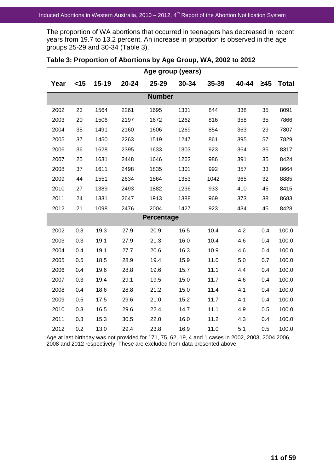The proportion of WA abortions that occurred in teenagers has decreased in recent years from 19.7 to 13.2 percent. An increase in proportion is observed in the age groups 25-29 and 30-34 (Table 3).

| Age group (years) |        |           |           |                   |           |           |       |           |              |
|-------------------|--------|-----------|-----------|-------------------|-----------|-----------|-------|-----------|--------------|
| Year              | $<$ 15 | $15 - 19$ | $20 - 24$ | 25-29             | $30 - 34$ | $35 - 39$ | 40-44 | $\geq 45$ | <b>Total</b> |
|                   |        |           |           | <b>Number</b>     |           |           |       |           |              |
| 2002              | 23     | 1564      | 2261      | 1695              | 1331      | 844       | 338   | 35        | 8091         |
| 2003              | 20     | 1506      | 2197      | 1672              | 1262      | 816       | 358   | 35        | 7866         |
| 2004              | 35     | 1491      | 2160      | 1606              | 1269      | 854       | 363   | 29        | 7807         |
| 2005              | 37     | 1450      | 2263      | 1519              | 1247      | 861       | 395   | 57        | 7829         |
| 2006              | 36     | 1628      | 2395      | 1633              | 1303      | 923       | 364   | 35        | 8317         |
| 2007              | 25     | 1631      | 2448      | 1646              | 1262      | 986       | 391   | 35        | 8424         |
| 2008              | 37     | 1611      | 2498      | 1835              | 1301      | 992       | 357   | 33        | 8664         |
| 2009              | 44     | 1551      | 2634      | 1864              | 1353      | 1042      | 365   | 32        | 8885         |
| 2010              | 27     | 1389      | 2493      | 1882              | 1236      | 933       | 410   | 45        | 8415         |
| 2011              | 24     | 1331      | 2647      | 1913              | 1388      | 969       | 373   | 38        | 8683         |
| 2012              | 21     | 1098      | 2476      | 2004              | 1427      | 923       | 434   | 45        | 8428         |
|                   |        |           |           | <b>Percentage</b> |           |           |       |           |              |
| 2002              | 0.3    | 19.3      | 27.9      | 20.9              | 16.5      | 10.4      | 4.2   | 0.4       | 100.0        |
| 2003              | 0.3    | 19.1      | 27.9      | 21.3              | 16.0      | 10.4      | 4.6   | 0.4       | 100.0        |
| 2004              | 0.4    | 19.1      | 27.7      | 20.6              | 16.3      | 10.9      | 4.6   | 0.4       | 100.0        |
| 2005              | 0.5    | 18.5      | 28.9      | 19.4              | 15.9      | 11.0      | 5.0   | 0.7       | 100.0        |
| 2006              | 0.4    | 19.6      | 28.8      | 19.6              | 15.7      | 11.1      | 4.4   | 0.4       | 100.0        |
| 2007              | 0.3    | 19.4      | 29.1      | 19.5              | 15.0      | 11.7      | 4.6   | 0.4       | 100.0        |
| 2008              | 0.4    | 18.6      | 28.8      | 21.2              | 15.0      | 11.4      | 4.1   | 0.4       | 100.0        |
| 2009              | 0.5    | 17.5      | 29.6      | 21.0              | 15.2      | 11.7      | 4.1   | 0.4       | 100.0        |
| 2010              | 0.3    | 16.5      | 29.6      | 22.4              | 14.7      | 11.1      | 4.9   | 0.5       | 100.0        |
| 2011              | 0.3    | 15.3      | 30.5      | 22.0              | 16.0      | 11.2      | 4.3   | 0.4       | 100.0        |
| 2012              | 0.2    | 13.0      | 29.4      | 23.8              | 16.9      | 11.0      | 5.1   | 0.5       | 100.0        |

| Table 3: Proportion of Abortions by Age Group, WA, 2002 to 2012 |  |  |
|-----------------------------------------------------------------|--|--|
|                                                                 |  |  |

Age at last birthday was not provided for 171, 75, 62, 19, 4 and 1 cases in 2002, 2003, 2004 2006, 2008 and 2012 respectively. These are excluded from data presented above.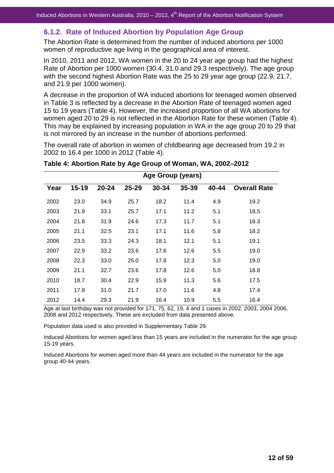# **6.1.2. Rate of Induced Abortion by Population Age Group**

The Abortion Rate is determined from the number of induced abortions per 1000 women of reproductive age living in the geographical area of interest.

In 2010, 2011 and 2012, WA women in the 20 to 24 year age group had the highest Rate of Abortion per 1000 women (30.4, 31.0 and 29.3 respectively). The age group with the second highest Abortion Rate was the 25 to 29 year age group (22.9, 21.7, and 21.9 per 1000 women).

A decrease in the proportion of WA induced abortions for teenaged women observed in Table 3 is reflected by a decrease in the Abortion Rate of teenaged women aged 15 to 19 years (Table 4). However, the increased proportion of all WA abortions for women aged 20 to 29 is not reflected in the Abortion Rate for these women (Table 4). This may be explained by increasing population in WA in the age group 20 to 29 that is not mirrored by an increase in the number of abortions performed.

The overall rate of abortion in women of childbearing age decreased from 19.2 in 2002 to 16.4 per 1000 in 2012 (Table 4).

|      | Age Group (years) |           |       |       |       |       |                     |  |  |
|------|-------------------|-----------|-------|-------|-------|-------|---------------------|--|--|
| Year | $15 - 19$         | $20 - 24$ | 25-29 | 30-34 | 35-39 | 40-44 | <b>Overall Rate</b> |  |  |
| 2002 | 23.0              | 34.9      | 25.7  | 18.2  | 11.4  | 4.9   | 19.2                |  |  |
| 2003 | 21.9              | 33.1      | 25.7  | 17.1  | 11.2  | 5.1   | 18.5                |  |  |
| 2004 | 21.8              | 31.9      | 24.6  | 17.3  | 11.7  | 5.1   | 18.3                |  |  |
| 2005 | 21.1              | 32.5      | 23.1  | 17.1  | 11.6  | 5.8   | 18.2                |  |  |
| 2006 | 23.5              | 33.3      | 24.3  | 18.1  | 12.1  | 5.1   | 19.1                |  |  |
| 2007 | 22.9              | 33.2      | 23.6  | 17.6  | 12.6  | 5.5   | 19.0                |  |  |
| 2008 | 22.3              | 33.0      | 25.0  | 17.8  | 12.3  | 5.0   | 19.0                |  |  |
| 2009 | 21.1              | 32.7      | 23.6  | 17.8  | 12.6  | 5.0   | 18.8                |  |  |
| 2010 | 18.7              | 30.4      | 22.9  | 15.9  | 11.3  | 5.6   | 17.5                |  |  |
| 2011 | 17.9              | 31.0      | 21.7  | 17.0  | 11.6  | 4.8   | 17.4                |  |  |
| 2012 | 14.4              | 29.3      | 21.9  | 16.4  | 10.9  | 5.5   | 16.4                |  |  |

**Table 4: Abortion Rate by Age Group of Woman, WA, 2002–2012** 

Age at last birthday was not provided for 171, 75, 62, 19, 4 and 1 cases in 2002, 2003, 2004 2006, 2008 and 2012 respectively. These are excluded from data presented above.

Population data used is also provided in Supplementary Table 29.

Induced Abortions for women aged less than 15 years are included in the numerator for the age group 15-19 years.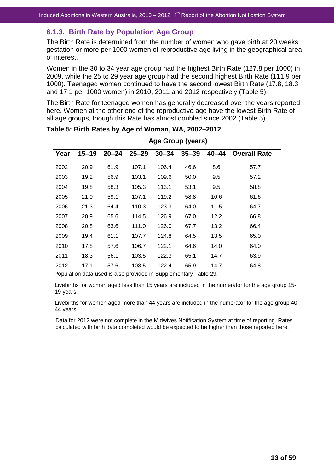### **6.1.3. Birth Rate by Population Age Group**

The Birth Rate is determined from the number of women who gave birth at 20 weeks gestation or more per 1000 women of reproductive age living in the geographical area of interest.

Women in the 30 to 34 year age group had the highest Birth Rate (127.8 per 1000) in 2009, while the 25 to 29 year age group had the second highest Birth Rate (111.9 per 1000). Teenaged women continued to have the second lowest Birth Rate (17.8, 18.3 and 17.1 per 1000 women) in 2010, 2011 and 2012 respectively (Table 5).

The Birth Rate for teenaged women has generally decreased over the years reported here. Women at the other end of the reproductive age have the lowest Birth Rate of all age groups, though this Rate has almost doubled since 2002 (Table 5).

|      | Age Group (years) |           |           |           |           |           |                     |  |  |
|------|-------------------|-----------|-----------|-----------|-----------|-----------|---------------------|--|--|
| Year | $15 - 19$         | $20 - 24$ | $25 - 29$ | $30 - 34$ | $35 - 39$ | $40 - 44$ | <b>Overall Rate</b> |  |  |
| 2002 | 20.9              | 61.9      | 107.1     | 106.4     | 46.6      | 8.6       | 57.7                |  |  |
| 2003 | 19.2              | 56.9      | 103.1     | 109.6     | 50.0      | 9.5       | 57.2                |  |  |
| 2004 | 19.8              | 58.3      | 105.3     | 113.1     | 53.1      | 9.5       | 58.8                |  |  |
| 2005 | 21.0              | 59.1      | 107.1     | 119.2     | 58.8      | 10.6      | 61.6                |  |  |
| 2006 | 21.3              | 64.4      | 110.3     | 123.3     | 64.0      | 11.5      | 64.7                |  |  |
| 2007 | 20.9              | 65.6      | 114.5     | 126.9     | 67.0      | 12.2      | 66.8                |  |  |
| 2008 | 20.8              | 63.6      | 111.0     | 126.0     | 67.7      | 13.2      | 66.4                |  |  |
| 2009 | 19.4              | 61.1      | 107.7     | 124.8     | 64.5      | 13.5      | 65.0                |  |  |
| 2010 | 17.8              | 57.6      | 106.7     | 122.1     | 64.6      | 14.0      | 64.0                |  |  |
| 2011 | 18.3              | 56.1      | 103.5     | 122.3     | 65.1      | 14.7      | 63.9                |  |  |
| 2012 | 17.1              | 57.6      | 103.5     | 122.4     | 65.9      | 14.7      | 64.8                |  |  |

#### **Table 5: Birth Rates by Age of Woman, WA, 2002–2012**

Population data used is also provided in Supplementary Table 29.

Livebirths for women aged less than 15 years are included in the numerator for the age group 15- 19 years.

Livebirths for women aged more than 44 years are included in the numerator for the age group 40- 44 years.

Data for 2012 were not complete in the Midwives Notification System at time of reporting. Rates calculated with birth data completed would be expected to be higher than those reported here.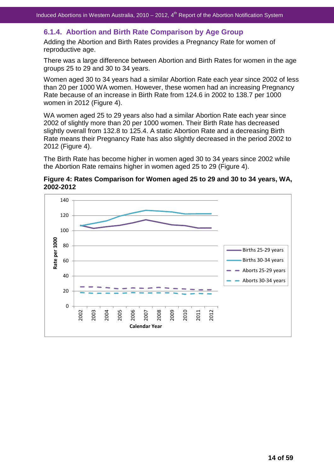### **6.1.4. Abortion and Birth Rate Comparison by Age Group**

Adding the Abortion and Birth Rates provides a Pregnancy Rate for women of reproductive age.

There was a large difference between Abortion and Birth Rates for women in the age groups 25 to 29 and 30 to 34 years.

Women aged 30 to 34 years had a similar Abortion Rate each year since 2002 of less than 20 per 1000 WA women. However, these women had an increasing Pregnancy Rate because of an increase in Birth Rate from 124.6 in 2002 to 138.7 per 1000 women in 2012 (Figure 4).

WA women aged 25 to 29 years also had a similar Abortion Rate each year since 2002 of slightly more than 20 per 1000 women. Their Birth Rate has decreased slightly overall from 132.8 to 125.4. A static Abortion Rate and a decreasing Birth Rate means their Pregnancy Rate has also slightly decreased in the period 2002 to 2012 (Figure 4).

The Birth Rate has become higher in women aged 30 to 34 years since 2002 while the Abortion Rate remains higher in women aged 25 to 29 (Figure 4).

**Figure 4: Rates Comparison for Women aged 25 to 29 and 30 to 34 years, WA, 2002-2012** 

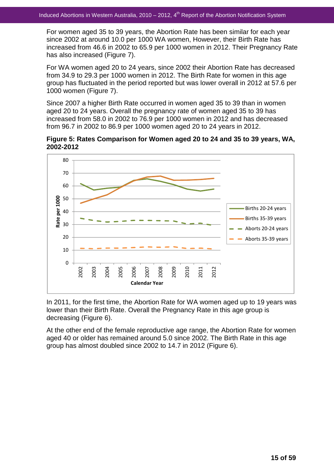For women aged 35 to 39 years, the Abortion Rate has been similar for each year since 2002 at around 10.0 per 1000 WA women, However, their Birth Rate has increased from 46.6 in 2002 to 65.9 per 1000 women in 2012. Their Pregnancy Rate has also increased (Figure 7).

For WA women aged 20 to 24 years, since 2002 their Abortion Rate has decreased from 34.9 to 29.3 per 1000 women in 2012. The Birth Rate for women in this age group has fluctuated in the period reported but was lower overall in 2012 at 57.6 per 1000 women (Figure 7).

Since 2007 a higher Birth Rate occurred in women aged 35 to 39 than in women aged 20 to 24 years. Overall the pregnancy rate of women aged 35 to 39 has increased from 58.0 in 2002 to 76.9 per 1000 women in 2012 and has decreased from 96.7 in 2002 to 86.9 per 1000 women aged 20 to 24 years in 2012.





In 2011, for the first time, the Abortion Rate for WA women aged up to 19 years was lower than their Birth Rate. Overall the Pregnancy Rate in this age group is decreasing (Figure 6).

At the other end of the female reproductive age range, the Abortion Rate for women aged 40 or older has remained around 5.0 since 2002. The Birth Rate in this age group has almost doubled since 2002 to 14.7 in 2012 (Figure 6).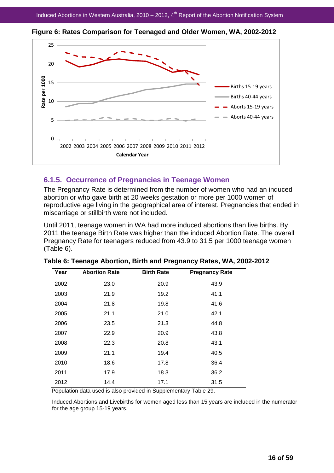

**Figure 6: Rates Comparison for Teenaged and Older Women, WA, 2002-2012** 

# **6.1.5. Occurrence of Pregnancies in Teenage Women**

The Pregnancy Rate is determined from the number of women who had an induced abortion or who gave birth at 20 weeks gestation or more per 1000 women of reproductive age living in the geographical area of interest. Pregnancies that ended in miscarriage or stillbirth were not included.

Until 2011, teenage women in WA had more induced abortions than live births. By 2011 the teenage Birth Rate was higher than the induced Abortion Rate. The overall Pregnancy Rate for teenagers reduced from 43.9 to 31.5 per 1000 teenage women (Table 6).

| Year | <b>Abortion Rate</b> | <b>Birth Rate</b> | <b>Pregnancy Rate</b> |
|------|----------------------|-------------------|-----------------------|
| 2002 | 23.0                 | 20.9              | 43.9                  |
| 2003 | 21.9                 | 19.2              | 41.1                  |
| 2004 | 21.8                 | 19.8              | 41.6                  |
| 2005 | 21.1                 | 21.0              | 42.1                  |
| 2006 | 23.5                 | 21.3              | 44.8                  |
| 2007 | 22.9                 | 20.9              | 43.8                  |
| 2008 | 22.3                 | 20.8              | 43.1                  |
| 2009 | 21.1                 | 19.4              | 40.5                  |
| 2010 | 18.6                 | 17.8              | 36.4                  |
| 2011 | 17.9                 | 18.3              | 36.2                  |
| 2012 | 14.4                 | 17.1              | 31.5                  |

| Table 6: Teenage Abortion, Birth and Pregnancy Rates, WA, 2002-2012 |  |  |  |  |  |
|---------------------------------------------------------------------|--|--|--|--|--|
|---------------------------------------------------------------------|--|--|--|--|--|

Population data used is also provided in Supplementary Table 29.

Induced Abortions and Livebirths for women aged less than 15 years are included in the numerator for the age group 15-19 years.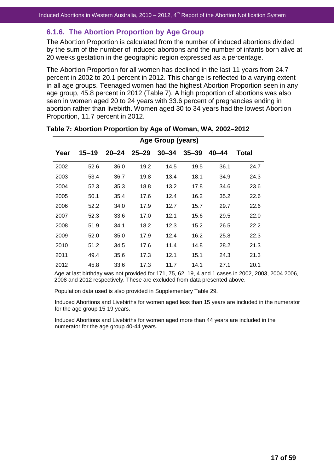# **6.1.6. The Abortion Proportion by Age Group**

The Abortion Proportion is calculated from the number of induced abortions divided by the sum of the number of induced abortions and the number of infants born alive at 20 weeks gestation in the geographic region expressed as a percentage.

The Abortion Proportion for all women has declined in the last 11 years from 24.7 percent in 2002 to 20.1 percent in 2012. This change is reflected to a varying extent in all age groups. Teenaged women had the highest Abortion Proportion seen in any age group, 45.8 percent in 2012 (Table 7). A high proportion of abortions was also seen in women aged 20 to 24 years with 33.6 percent of pregnancies ending in abortion rather than livebirth. Women aged 30 to 34 years had the lowest Abortion Proportion, 11.7 percent in 2012.

|      | Age Group (years) |      |                 |           |           |           |              |  |
|------|-------------------|------|-----------------|-----------|-----------|-----------|--------------|--|
| Year | $15 - 19$         |      | $20 - 24$ 25-29 | $30 - 34$ | $35 - 39$ | $40 - 44$ | <b>Total</b> |  |
| 2002 | 52.6              | 36.0 | 19.2            | 14.5      | 19.5      | 36.1      | 24.7         |  |
| 2003 | 53.4              | 36.7 | 19.8            | 13.4      | 18.1      | 34.9      | 24.3         |  |
| 2004 | 52.3              | 35.3 | 18.8            | 13.2      | 17.8      | 34.6      | 23.6         |  |
| 2005 | 50.1              | 35.4 | 17.6            | 12.4      | 16.2      | 35.2      | 22.6         |  |
| 2006 | 52.2              | 34.0 | 17.9            | 12.7      | 15.7      | 29.7      | 22.6         |  |
| 2007 | 52.3              | 33.6 | 17.0            | 12.1      | 15.6      | 29.5      | 22.0         |  |
| 2008 | 51.9              | 34.1 | 18.2            | 12.3      | 15.2      | 26.5      | 22.2         |  |
| 2009 | 52.0              | 35.0 | 17.9            | 12.4      | 16.2      | 25.8      | 22.3         |  |
| 2010 | 51.2              | 34.5 | 17.6            | 11.4      | 14.8      | 28.2      | 21.3         |  |
| 2011 | 49.4              | 35.6 | 17.3            | 12.1      | 15.1      | 24.3      | 21.3         |  |
| 2012 | 45.8              | 33.6 | 17.3            | 11.7      | 14.1      | 27.1      | 20.1         |  |

Age at last birthday was not provided for 171, 75, 62, 19, 4 and 1 cases in 2002, 2003, 2004 2006, 2008 and 2012 respectively. These are excluded from data presented above.

Population data used is also provided in Supplementary Table 29.

Induced Abortions and Livebirths for women aged less than 15 years are included in the numerator for the age group 15-19 years.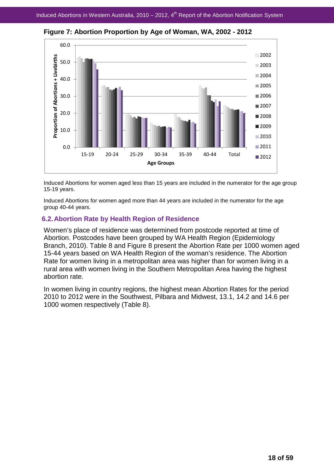

**Figure 7: Abortion Proportion by Age of Woman, WA, 2002 - 2012** 

Induced Abortions for women aged less than 15 years are included in the numerator for the age group 15-19 years.

Induced Abortions for women aged more than 44 years are included in the numerator for the age group 40-44 years.

#### **6.2. Abortion Rate by Health Region of Residence**

Women's place of residence was determined from postcode reported at time of Abortion. Postcodes have been grouped by WA Health Region (Epidemiology Branch, 2010). Table 8 and Figure 8 present the Abortion Rate per 1000 women aged 15-44 years based on WA Health Region of the woman's residence. The Abortion Rate for women living in a metropolitan area was higher than for women living in a rural area with women living in the Southern Metropolitan Area having the highest abortion rate.

In women living in country regions, the highest mean Abortion Rates for the period 2010 to 2012 were in the Southwest, Pilbara and Midwest, 13.1, 14.2 and 14.6 per 1000 women respectively (Table 8).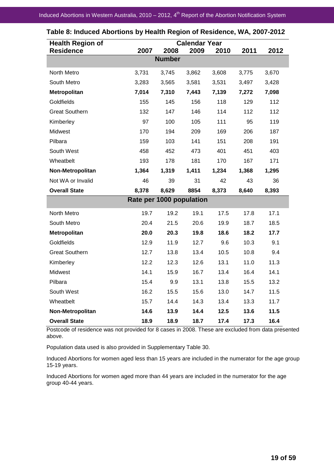| <b>Health Region of</b> | <b>Calendar Year</b>     |               |       |       |       |       |  |
|-------------------------|--------------------------|---------------|-------|-------|-------|-------|--|
| <b>Residence</b>        | 2007                     | 2008          | 2009  | 2010  | 2011  | 2012  |  |
|                         |                          | <b>Number</b> |       |       |       |       |  |
| North Metro             | 3,731                    | 3,745         | 3,862 | 3,608 | 3,775 | 3,670 |  |
| South Metro             | 3,283                    | 3,565         | 3,581 | 3,531 | 3,497 | 3,428 |  |
| <b>Metropolitan</b>     | 7,014                    | 7,310         | 7,443 | 7,139 | 7,272 | 7,098 |  |
| Goldfields              | 155                      | 145           | 156   | 118   | 129   | 112   |  |
| <b>Great Southern</b>   | 132                      | 147           | 146   | 114   | 112   | 112   |  |
| Kimberley               | 97                       | 100           | 105   | 111   | 95    | 119   |  |
| Midwest                 | 170                      | 194           | 209   | 169   | 206   | 187   |  |
| Pilbara                 | 159                      | 103           | 141   | 151   | 208   | 191   |  |
| South West              | 458                      | 452           | 473   | 401   | 451   | 403   |  |
| Wheatbelt               | 193                      | 178           | 181   | 170   | 167   | 171   |  |
| Non-Metropolitan        | 1,364                    | 1,319         | 1,411 | 1,234 | 1,368 | 1,295 |  |
| Not WA or Invalid       | 46                       | 39            | 31    | 42    | 43    | 36    |  |
| <b>Overall State</b>    | 8,378                    | 8,629         | 8854  | 8,373 | 8,640 | 8,393 |  |
|                         | Rate per 1000 population |               |       |       |       |       |  |
| North Metro             | 19.7                     | 19.2          | 19.1  | 17.5  | 17.8  | 17.1  |  |
| South Metro             | 20.4                     | 21.5          | 20.6  | 19.9  | 18.7  | 18.5  |  |
| <b>Metropolitan</b>     | 20.0                     | 20.3          | 19.8  | 18.6  | 18.2  | 17.7  |  |
| Goldfields              | 12.9                     | 11.9          | 12.7  | 9.6   | 10.3  | 9.1   |  |
| <b>Great Southern</b>   | 12.7                     | 13.8          | 13.4  | 10.5  | 10.8  | 9.4   |  |
| Kimberley               | 12.2                     | 12.3          | 12.6  | 13.1  | 11.0  | 11.3  |  |
| Midwest                 | 14.1                     | 15.9          | 16.7  | 13.4  | 16.4  | 14.1  |  |
| Pilbara                 | 15.4                     | 9.9           | 13.1  | 13.8  | 15.5  | 13.2  |  |
| South West              | 16.2                     | 15.5          | 15.6  | 13.0  | 14.7  | 11.5  |  |
| Wheatbelt               | 15.7                     | 14.4          | 14.3  | 13.4  | 13.3  | 11.7  |  |
| Non-Metropolitan        | 14.6                     | 13.9          | 14.4  | 12.5  | 13.6  | 11.5  |  |
| <b>Overall State</b>    | 18.9                     | 18.9          | 18.7  | 17.4  | 17.3  | 16.4  |  |

### **Table 8: Induced Abortions by Health Region of Residence, WA, 2007-2012**

Postcode of residence was not provided for 8 cases in 2008. These are excluded from data presented above.

Population data used is also provided in Supplementary Table 30.

Induced Abortions for women aged less than 15 years are included in the numerator for the age group 15-19 years.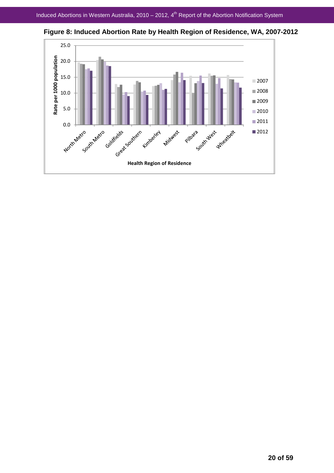

**Figure 8: Induced Abortion Rate by Health Region of Residence, WA, 2007-2012**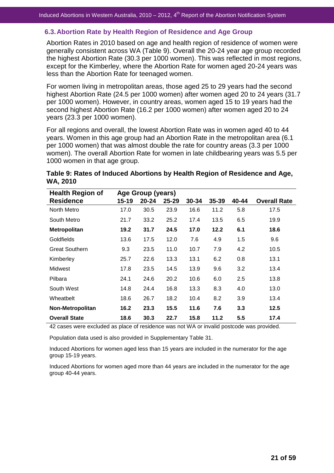### **6.3. Abortion Rate by Health Region of Residence and Age Group**

Abortion Rates in 2010 based on age and health region of residence of women were generally consistent across WA (Table 9). Overall the 20-24 year age group recorded the highest Abortion Rate (30.3 per 1000 women). This was reflected in most regions, except for the Kimberley, where the Abortion Rate for women aged 20-24 years was less than the Abortion Rate for teenaged women.

For women living in metropolitan areas, those aged 25 to 29 years had the second highest Abortion Rate (24.5 per 1000 women) after women aged 20 to 24 years (31.7 per 1000 women). However, in country areas, women aged 15 to 19 years had the second highest Abortion Rate (16.2 per 1000 women) after women aged 20 to 24 years (23.3 per 1000 women).

For all regions and overall, the lowest Abortion Rate was in women aged 40 to 44 years. Women in this age group had an Abortion Rate in the metropolitan area (6.1 per 1000 women) that was almost double the rate for country areas (3.3 per 1000 women). The overall Abortion Rate for women in late childbearing years was 5.5 per 1000 women in that age group.

| <b>Health Region of</b> | Age Group (years) |           |           |           |           |       |                     |
|-------------------------|-------------------|-----------|-----------|-----------|-----------|-------|---------------------|
| <b>Residence</b>        | $15 - 19$         | $20 - 24$ | $25 - 29$ | $30 - 34$ | $35 - 39$ | 40-44 | <b>Overall Rate</b> |
| North Metro             | 17.0              | 30.5      | 23.9      | 16.6      | 11.2      | 5.8   | 17.5                |
| South Metro             | 21.7              | 33.2      | 25.2      | 17.4      | 13.5      | 6.5   | 19.9                |
| <b>Metropolitan</b>     | 19.2              | 31.7      | 24.5      | 17.0      | 12.2      | 6.1   | 18.6                |
| <b>Goldfields</b>       | 13.6              | 17.5      | 12.0      | 7.6       | 4.9       | 1.5   | 9.6                 |
| <b>Great Southern</b>   | 9.3               | 23.5      | 11.0      | 10.7      | 7.9       | 4.2   | 10.5                |
| Kimberley               | 25.7              | 22.6      | 13.3      | 13.1      | 6.2       | 0.8   | 13.1                |
| Midwest                 | 17.8              | 23.5      | 14.5      | 13.9      | 9.6       | 3.2   | 13.4                |
| Pilbara                 | 24.1              | 24.6      | 20.2      | 10.6      | 6.0       | 2.5   | 13.8                |
| South West              | 14.8              | 24.4      | 16.8      | 13.3      | 8.3       | 4.0   | 13.0                |
| Wheatbelt               | 18.6              | 26.7      | 18.2      | 10.4      | 8.2       | 3.9   | 13.4                |
| Non-Metropolitan        | 16.2              | 23.3      | 15.5      | 11.6      | 7.6       | 3.3   | 12.5                |
| <b>Overall State</b>    | 18.6              | 30.3      | 22.7      | 15.8      | 11.2      | 5.5   | 17.4                |

**Table 9: Rates of Induced Abortions by Health Region of Residence and Age, WA, 2010** 

42 cases were excluded as place of residence was not WA or invalid postcode was provided.

Population data used is also provided in Supplementary Table 31.

Induced Abortions for women aged less than 15 years are included in the numerator for the age group 15-19 years.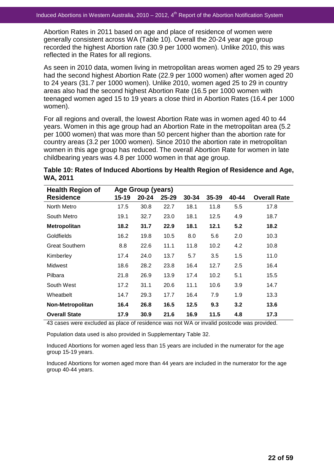Abortion Rates in 2011 based on age and place of residence of women were generally consistent across WA (Table 10). Overall the 20-24 year age group recorded the highest Abortion rate (30.9 per 1000 women). Unlike 2010, this was reflected in the Rates for all regions.

As seen in 2010 data, women living in metropolitan areas women aged 25 to 29 years had the second highest Abortion Rate (22.9 per 1000 women) after women aged 20 to 24 years (31.7 per 1000 women). Unlike 2010, women aged 25 to 29 in country areas also had the second highest Abortion Rate (16.5 per 1000 women with teenaged women aged 15 to 19 years a close third in Abortion Rates (16.4 per 1000 women).

For all regions and overall, the lowest Abortion Rate was in women aged 40 to 44 years. Women in this age group had an Abortion Rate in the metropolitan area (5.2 per 1000 women) that was more than 50 percent higher than the abortion rate for country areas (3.2 per 1000 women). Since 2010 the abortion rate in metropolitan women in this age group has reduced. The overall Abortion Rate for women in late childbearing years was 4.8 per 1000 women in that age group.

**Table 10: Rates of Induced Abortions by Health Region of Residence and Age, WA, 2011** 

| <b>Health Region of</b> |           | Age Group (years) |           |       |           |       |                     |
|-------------------------|-----------|-------------------|-----------|-------|-----------|-------|---------------------|
| <b>Residence</b>        | $15 - 19$ | $20 - 24$         | $25 - 29$ | 30-34 | $35 - 39$ | 40-44 | <b>Overall Rate</b> |
| North Metro             | 17.5      | 30.8              | 22.7      | 18.1  | 11.8      | 5.5   | 17.8                |
| South Metro             | 19.1      | 32.7              | 23.0      | 18.1  | 12.5      | 4.9   | 18.7                |
| <b>Metropolitan</b>     | 18.2      | 31.7              | 22.9      | 18.1  | 12.1      | 5.2   | 18.2                |
| Goldfields              | 16.2      | 19.8              | 10.5      | 8.0   | 5.6       | 2.0   | 10.3                |
| <b>Great Southern</b>   | 8.8       | 22.6              | 11.1      | 11.8  | 10.2      | 4.2   | 10.8                |
| Kimberley               | 17.4      | 24.0              | 13.7      | 5.7   | 3.5       | 1.5   | 11.0                |
| Midwest                 | 18.6      | 28.2              | 23.8      | 16.4  | 12.7      | 2.5   | 16.4                |
| Pilbara                 | 21.8      | 26.9              | 13.9      | 17.4  | 10.2      | 5.1   | 15.5                |
| South West              | 17.2      | 31.1              | 20.6      | 11.1  | 10.6      | 3.9   | 14.7                |
| Wheatbelt               | 14.7      | 29.3              | 17.7      | 16.4  | 7.9       | 1.9   | 13.3                |
| Non-Metropolitan        | 16.4      | 26.8              | 16.5      | 12.5  | 9.3       | 3.2   | 13.6                |
| <b>Overall State</b>    | 17.9      | 30.9              | 21.6      | 16.9  | 11.5      | 4.8   | 17.3                |

43 cases were excluded as place of residence was not WA or invalid postcode was provided.

Population data used is also provided in Supplementary Table 32.

Induced Abortions for women aged less than 15 years are included in the numerator for the age group 15-19 years.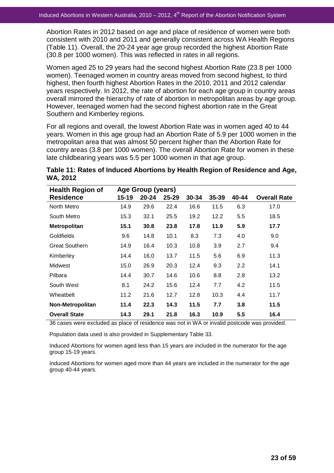Abortion Rates in 2012 based on age and place of residence of women were both consistent with 2010 and 2011 and generally consistent across WA Health Regions (Table 11). Overall, the 20-24 year age group recorded the highest Abortion Rate (30.8 per 1000 women). This was reflected in rates in all regions.

Women aged 25 to 29 years had the second highest Abortion Rate (23.8 per 1000 women). Teenaged women in country areas moved from second highest, to third highest, then fourth highest Abortion Rates in the 2010, 2011 and 2012 calendar years respectively. In 2012, the rate of abortion for each age group in country areas overall mirrored the hierarchy of rate of abortion in metropolitan areas by age group. However, teenaged women had the second highest abortion rate in the Great Southern and Kimberley regions.

For all regions and overall, the lowest Abortion Rate was in women aged 40 to 44 years. Women in this age group had an Abortion Rate of 5.9 per 1000 women in the metropolitan area that was almost 50 percent higher than the Abortion Rate for country areas (3.8 per 1000 women). The overall Abortion Rate for women in these late childbearing years was 5.5 per 1000 women in that age group.

| Table 11: Rates of Induced Abortions by Health Region of Residence and Age, |  |
|-----------------------------------------------------------------------------|--|
| WA, 2012                                                                    |  |

| <b>Health Region of</b> | Age Group (years) |           |           |           |       |       |                     |
|-------------------------|-------------------|-----------|-----------|-----------|-------|-------|---------------------|
| <b>Residence</b>        | $15 - 19$         | $20 - 24$ | $25 - 29$ | $30 - 34$ | 35-39 | 40-44 | <b>Overall Rate</b> |
| North Metro             | 14.9              | 29.6      | 22.4      | 16.6      | 11.5  | 6.3   | 17.0                |
| South Metro             | 15.3              | 32.1      | 25.5      | 19.2      | 12.2  | 5.5   | 18.5                |
| <b>Metropolitan</b>     | 15.1              | 30.8      | 23.8      | 17.8      | 11.9  | 5.9   | 17.7                |
| Goldfields              | 9.6               | 14.8      | 10.1      | 8.3       | 7.3   | 4.0   | 9.0                 |
| <b>Great Southern</b>   | 14.9              | 16.4      | 10.3      | 10.8      | 3.9   | 2.7   | 9.4                 |
| Kimberley               | 14.4              | 16.0      | 13.7      | 11.5      | 5.6   | 6.9   | 11.3                |
| Midwest                 | 15.0              | 26.9      | 20.3      | 12.4      | 9.3   | 2.2   | 14.1                |
| Pilbara                 | 14.4              | 30.7      | 14.6      | 10.6      | 8.8   | 2.8   | 13.2                |
| South West              | 8.1               | 24.2      | 15.6      | 12.4      | 7.7   | 4.2   | 11.5                |
| Wheatbelt               | 11.2              | 21.6      | 12.7      | 12.8      | 10.3  | 4.4   | 11.7                |
| Non-Metropolitan        | 11.4              | 22.3      | 14.3      | 11.5      | 7.7   | 3.8   | 11.5                |
| <b>Overall State</b>    | 14.3              | 29.1      | 21.8      | 16.3      | 10.9  | 5.5   | 16.4                |

36 cases were excluded as place of residence was not in WA or invalid postcode was provided.

Population data used is also provided in Supplementary Table 33.

Induced Abortions for women aged less than 15 years are included in the numerator for the age group 15-19 years.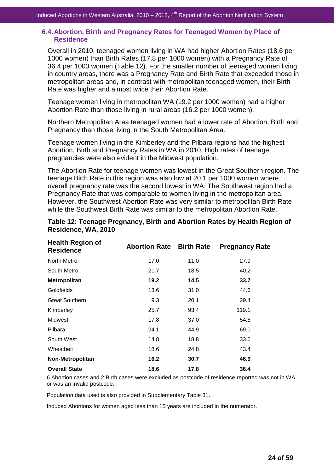### **6.4. Abortion, Birth and Pregnancy Rates for Teenaged Women by Place of Residence**

Overall in 2010, teenaged women living in WA had higher Abortion Rates (18.6 per 1000 women) than Birth Rates (17.8 per 1000 women) with a Pregnancy Rate of 36.4 per 1000 women (Table 12). For the smaller number of teenaged women living in country areas, there was a Pregnancy Rate and Birth Rate that exceeded those in metropolitan areas and, in contrast with metropolitan teenaged women, their Birth Rate was higher and almost twice their Abortion Rate.

Teenage women living in metropolitan WA (19.2 per 1000 women) had a higher Abortion Rate than those living in rural areas (16.2 per 1000 women).

Northern Metropolitan Area teenaged women had a lower rate of Abortion, Birth and Pregnancy than those living in the South Metropolitan Area.

Teenage women living in the Kimberley and the Pilbara regions had the highest Abortion, Birth and Pregnancy Rates in WA in 2010. High rates of teenage pregnancies were also evident in the Midwest population.

The Abortion Rate for teenage women was lowest in the Great Southern region. The teenage Birth Rate in this region was also low at 20.1 per 1000 women where overall pregnancy rate was the second lowest in WA. The Southwest region had a Pregnancy Rate that was comparable to women living in the metropolitan area. However, the Southwest Abortion Rate was very similar to metropolitan Birth Rate while the Southwest Birth Rate was similar to the metropolitan Abortion Rate.

| <b>Health Region of</b><br><b>Residence</b> | <b>Abortion Rate</b> Birth Rate |      | <b>Pregnancy Rate</b> |
|---------------------------------------------|---------------------------------|------|-----------------------|
| North Metro                                 | 17.0                            | 11.0 | 27.9                  |
| South Metro                                 | 21.7                            | 18.5 | 40.2                  |
| <b>Metropolitan</b>                         | 19.2                            | 14.5 | 33.7                  |
| Goldfields                                  | 13.6                            | 31.0 | 44.6                  |
| <b>Great Southern</b>                       | 9.3                             | 20.1 | 29.4                  |
| Kimberley                                   | 25.7                            | 93.4 | 119.1                 |
| <b>Midwest</b>                              | 17.8                            | 37.0 | 54.8                  |
| Pilbara                                     | 24.1                            | 44.9 | 69.0                  |
| South West                                  | 14.8                            | 18.8 | 33.6                  |
| Wheatbelt                                   | 18.6                            | 24.8 | 43.4                  |
| <b>Non-Metropolitan</b>                     | 16.2                            | 30.7 | 46.9                  |
| <b>Overall State</b>                        | 18.6                            | 17.8 | 36.4                  |

### **Table 12: Teenage Pregnancy, Birth and Abortion Rates by Health Region of Residence, WA, 2010**

6 Abortion cases and 2 Birth cases were excluded as postcode of residence reported was not in WA or was an invalid postcode.

Population data used is also provided in Supplementary Table 31.

Induced Abortions for women aged less than 15 years are included in the numerator.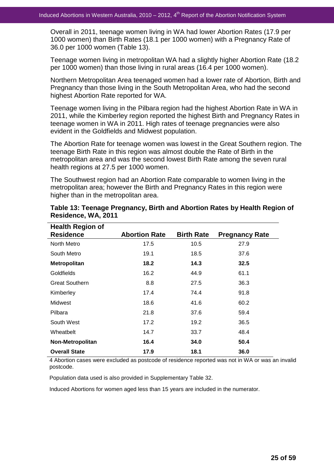Overall in 2011, teenage women living in WA had lower Abortion Rates (17.9 per 1000 women) than Birth Rates (18.1 per 1000 women) with a Pregnancy Rate of 36.0 per 1000 women (Table 13).

Teenage women living in metropolitan WA had a slightly higher Abortion Rate (18.2 per 1000 women) than those living in rural areas (16.4 per 1000 women).

Northern Metropolitan Area teenaged women had a lower rate of Abortion, Birth and Pregnancy than those living in the South Metropolitan Area, who had the second highest Abortion Rate reported for WA.

Teenage women living in the Pilbara region had the highest Abortion Rate in WA in 2011, while the Kimberley region reported the highest Birth and Pregnancy Rates in teenage women in WA in 2011. High rates of teenage pregnancies were also evident in the Goldfields and Midwest population.

The Abortion Rate for teenage women was lowest in the Great Southern region. The teenage Birth Rate in this region was almost double the Rate of Birth in the metropolitan area and was the second lowest Birth Rate among the seven rural health regions at 27.5 per 1000 women.

The Southwest region had an Abortion Rate comparable to women living in the metropolitan area; however the Birth and Pregnancy Rates in this region were higher than in the metropolitan area.

| <b>Health Region of</b> |                      |                   |                       |  |
|-------------------------|----------------------|-------------------|-----------------------|--|
| <b>Residence</b>        | <b>Abortion Rate</b> | <b>Birth Rate</b> | <b>Pregnancy Rate</b> |  |
| North Metro             | 17.5                 | 10.5              | 27.9                  |  |
| South Metro             | 19.1                 | 18.5              | 37.6                  |  |
| <b>Metropolitan</b>     | 18.2                 | 14.3              | 32.5                  |  |
| Goldfields              | 16.2                 | 44.9              | 61.1                  |  |
| <b>Great Southern</b>   | 8.8                  | 27.5              | 36.3                  |  |
| Kimberley               | 17.4                 | 74.4              | 91.8                  |  |
| <b>Midwest</b>          | 18.6                 | 41.6              | 60.2                  |  |
| Pilbara                 | 21.8                 | 37.6              | 59.4                  |  |
| South West              | 17.2                 | 19.2              | 36.5                  |  |
| Wheatbelt               | 14.7                 | 33.7              | 48.4                  |  |
| Non-Metropolitan        | 16.4                 | 34.0              | 50.4                  |  |
| <b>Overall State</b>    | 17.9                 | 18.1              | 36.0                  |  |

**Table 13: Teenage Pregnancy, Birth and Abortion Rates by Health Region of Residence, WA, 2011** 

4 Abortion cases were excluded as postcode of residence reported was not in WA or was an invalid postcode.

Population data used is also provided in Supplementary Table 32.

Induced Abortions for women aged less than 15 years are included in the numerator.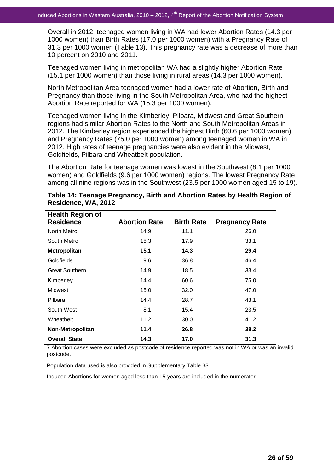Overall in 2012, teenaged women living in WA had lower Abortion Rates (14.3 per 1000 women) than Birth Rates (17.0 per 1000 women) with a Pregnancy Rate of 31.3 per 1000 women (Table 13). This pregnancy rate was a decrease of more than 10 percent on 2010 and 2011.

Teenaged women living in metropolitan WA had a slightly higher Abortion Rate (15.1 per 1000 women) than those living in rural areas (14.3 per 1000 women).

North Metropolitan Area teenaged women had a lower rate of Abortion, Birth and Pregnancy than those living in the South Metropolitan Area, who had the highest Abortion Rate reported for WA (15.3 per 1000 women).

Teenaged women living in the Kimberley, Pilbara, Midwest and Great Southern regions had similar Abortion Rates to the North and South Metropolitan Areas in 2012. The Kimberley region experienced the highest Birth (60.6 per 1000 women) and Pregnancy Rates (75.0 per 1000 women) among teenaged women in WA in 2012. High rates of teenage pregnancies were also evident in the Midwest, Goldfields, Pilbara and Wheatbelt population.

The Abortion Rate for teenage women was lowest in the Southwest (8.1 per 1000 women) and Goldfields (9.6 per 1000 women) regions. The lowest Pregnancy Rate among all nine regions was in the Southwest (23.5 per 1000 women aged 15 to 19).

| <b>Health Region of</b> |                      |                   |                       |
|-------------------------|----------------------|-------------------|-----------------------|
| <b>Residence</b>        | <b>Abortion Rate</b> | <b>Birth Rate</b> | <b>Pregnancy Rate</b> |
| North Metro             | 14.9                 | 11.1              | 26.0                  |
| South Metro             | 15.3                 | 17.9              | 33.1                  |
| Metropolitan            | 15.1                 | 14.3              | 29.4                  |
| Goldfields              | 9.6                  | 36.8              | 46.4                  |
| <b>Great Southern</b>   | 14.9                 | 18.5              | 33.4                  |
| Kimberley               | 14.4                 | 60.6              | 75.0                  |
| Midwest                 | 15.0                 | 32.0              | 47.0                  |
| Pilbara                 | 14.4                 | 28.7              | 43.1                  |
| South West              | 8.1                  | 15.4              | 23.5                  |
| Wheatbelt               | 11.2                 | 30.0              | 41.2                  |
| Non-Metropolitan        | 11.4                 | 26.8              | 38.2                  |
| <b>Overall State</b>    | 14.3                 | 17.0              | 31.3                  |

| Table 14: Teenage Pregnancy, Birth and Abortion Rates by Health Region of |  |  |  |
|---------------------------------------------------------------------------|--|--|--|
| Residence, WA, 2012                                                       |  |  |  |

7 Abortion cases were excluded as postcode of residence reported was not in WA or was an invalid postcode.

Population data used is also provided in Supplementary Table 33.

Induced Abortions for women aged less than 15 years are included in the numerator.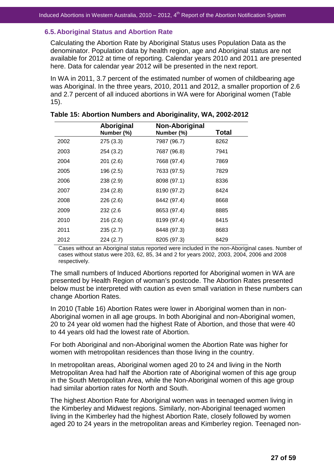### **6.5. Aboriginal Status and Abortion Rate**

Calculating the Abortion Rate by Aboriginal Status uses Population Data as the denominator. Population data by health region, age and Aboriginal status are not available for 2012 at time of reporting. Calendar years 2010 and 2011 are presented here. Data for calendar year 2012 will be presented in the next report.

In WA in 2011, 3.7 percent of the estimated number of women of childbearing age was Aboriginal. In the three years, 2010, 2011 and 2012, a smaller proportion of 2.6 and 2.7 percent of all induced abortions in WA were for Aboriginal women (Table 15).

|      | Aboriginal<br>Number (%) | Non-Aboriginal<br>Number (%) | <b>Total</b> |
|------|--------------------------|------------------------------|--------------|
| 2002 | 275(3.3)                 | 7987 (96.7)                  | 8262         |
| 2003 | 254(3.2)                 | 7687 (96.8)                  | 7941         |
| 2004 | 201(2.6)                 | 7668 (97.4)                  | 7869         |
| 2005 | 196 (2.5)                | 7633 (97.5)                  | 7829         |
| 2006 | 238(2.9)                 | 8098 (97.1)                  | 8336         |
| 2007 | 234(2.8)                 | 8190 (97.2)                  | 8424         |
| 2008 | 226(2.6)                 | 8442 (97.4)                  | 8668         |
| 2009 | 232 (2.6)                | 8653 (97.4)                  | 8885         |
| 2010 | 216(2.6)                 | 8199 (97.4)                  | 8415         |
| 2011 | 235(2.7)                 | 8448 (97.3)                  | 8683         |
| 2012 | 224(2.7)                 | 8205 (97.3)                  | 8429         |

|  |  |  | Table 15: Abortion Numbers and Aboriginality, WA, 2002-2012 |
|--|--|--|-------------------------------------------------------------|
|--|--|--|-------------------------------------------------------------|

 Cases without an Aboriginal status reported were included in the non-Aboriginal cases. Number of cases without status were 203, 62, 85, 34 and 2 for years 2002, 2003, 2004, 2006 and 2008 respectively.

The small numbers of Induced Abortions reported for Aboriginal women in WA are presented by Health Region of woman's postcode. The Abortion Rates presented below must be interpreted with caution as even small variation in these numbers can change Abortion Rates.

In 2010 (Table 16) Abortion Rates were lower in Aboriginal women than in non-Aboriginal women in all age groups. In both Aboriginal and non-Aboriginal women, 20 to 24 year old women had the highest Rate of Abortion, and those that were 40 to 44 years old had the lowest rate of Abortion.

For both Aboriginal and non-Aboriginal women the Abortion Rate was higher for women with metropolitan residences than those living in the country.

In metropolitan areas, Aboriginal women aged 20 to 24 and living in the North Metropolitan Area had half the Abortion rate of Aboriginal women of this age group in the South Metropolitan Area, while the Non-Aboriginal women of this age group had similar abortion rates for North and South.

The highest Abortion Rate for Aboriginal women was in teenaged women living in the Kimberley and Midwest regions. Similarly, non-Aboriginal teenaged women living in the Kimberley had the highest Abortion Rate, closely followed by women aged 20 to 24 years in the metropolitan areas and Kimberley region. Teenaged non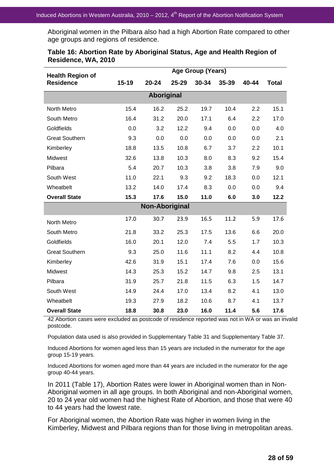Aboriginal women in the Pilbara also had a high Abortion Rate compared to other age groups and regions of residence.

| <b>Health Region of</b> | <b>Age Group (Years)</b> |                       |       |       |       |       |              |  |  |  |
|-------------------------|--------------------------|-----------------------|-------|-------|-------|-------|--------------|--|--|--|
| <b>Residence</b>        | $15 - 19$                | 20-24                 | 25-29 | 30-34 | 35-39 | 40-44 | <b>Total</b> |  |  |  |
| <b>Aboriginal</b>       |                          |                       |       |       |       |       |              |  |  |  |
| North Metro             | 15.4                     | 16.2                  | 25.2  | 19.7  | 10.4  | 2.2   | 15.1         |  |  |  |
| South Metro             | 16.4                     | 31.2                  | 20.0  | 17.1  | 6.4   | 2.2   | 17.0         |  |  |  |
| Goldfields              | 0.0                      | 3.2                   | 12.2  | 9.4   | 0.0   | 0.0   | 4.0          |  |  |  |
| <b>Great Southern</b>   | 9.3                      | 0.0                   | 0.0   | 0.0   | 0.0   | 0.0   | 2.1          |  |  |  |
| Kimberley               | 18.8                     | 13.5                  | 10.8  | 6.7   | 3.7   | 2.2   | 10.1         |  |  |  |
| Midwest                 | 32.6                     | 13.8                  | 10.3  | 8.0   | 8.3   | 9.2   | 15.4         |  |  |  |
| Pilbara                 | 5.4                      | 20.7                  | 10.3  | 3.8   | 3.8   | 7.9   | 9.0          |  |  |  |
| South West              | 11.0                     | 22.1                  | 9.3   | 9.2   | 18.3  | 0.0   | 12.1         |  |  |  |
| Wheatbelt               | 13.2                     | 14.0                  | 17.4  | 8.3   | 0.0   | 0.0   | 9.4          |  |  |  |
| <b>Overall State</b>    | 15.3                     | 17.6                  | 15.0  | 11.0  | 6.0   | 3.0   | 12.2         |  |  |  |
|                         |                          | <b>Non-Aboriginal</b> |       |       |       |       |              |  |  |  |
| North Metro             | 17.0                     | 30.7                  | 23.9  | 16.5  | 11.2  | 5.9   | 17.6         |  |  |  |
| South Metro             | 21.8                     | 33.2                  | 25.3  | 17.5  | 13.6  | 6.6   | 20.0         |  |  |  |
| Goldfields              | 16.0                     | 20.1                  | 12.0  | 7.4   | 5.5   | 1.7   | 10.3         |  |  |  |
| <b>Great Southern</b>   | 9.3                      | 25.0                  | 11.6  | 11.1  | 8.2   | 4.4   | 10.8         |  |  |  |
| Kimberley               | 42.6                     | 31.9                  | 15.1  | 17.4  | 7.6   | 0.0   | 15.6         |  |  |  |
| Midwest                 | 14.3                     | 25.3                  | 15.2  | 14.7  | 9.8   | 2.5   | 13.1         |  |  |  |
| Pilbara                 | 31.9                     | 25.7                  | 21.8  | 11.5  | 6.3   | 1.5   | 14.7         |  |  |  |
| South West              | 14.9                     | 24.4                  | 17.0  | 13.4  | 8.2   | 4.1   | 13.0         |  |  |  |
| Wheatbelt               | 19.3                     | 27.9                  | 18.2  | 10.6  | 8.7   | 4.1   | 13.7         |  |  |  |
| <b>Overall State</b>    | 18.8                     | 30.8                  | 23.0  | 16.0  | 11.4  | 5.6   | 17.6         |  |  |  |

### **Table 16: Abortion Rate by Aboriginal Status, Age and Health Region of Residence, WA, 2010**

42 Abortion cases were excluded as postcode of residence reported was not in WA or was an invalid postcode.

Population data used is also provided in Supplementary Table 31 and Supplementary Table 37.

Induced Abortions for women aged less than 15 years are included in the numerator for the age group 15-19 years.

Induced Abortions for women aged more than 44 years are included in the numerator for the age group 40-44 years.

In 2011 (Table 17), Abortion Rates were lower in Aboriginal women than in Non-Aboriginal women in all age groups. In both Aboriginal and non-Aboriginal women, 20 to 24 year old women had the highest Rate of Abortion, and those that were 40 to 44 years had the lowest rate.

For Aboriginal women, the Abortion Rate was higher in women living in the Kimberley, Midwest and Pilbara regions than for those living in metropolitan areas.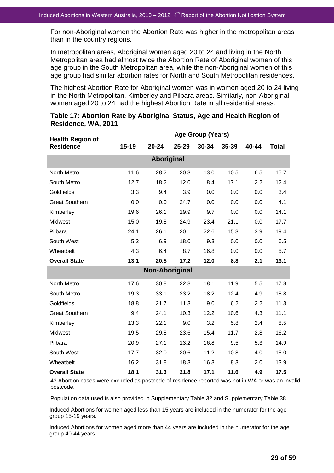For non-Aboriginal women the Abortion Rate was higher in the metropolitan areas than in the country regions.

In metropolitan areas, Aboriginal women aged 20 to 24 and living in the North Metropolitan area had almost twice the Abortion Rate of Aboriginal women of this age group in the South Metropolitan area, while the non-Aboriginal women of this age group had similar abortion rates for North and South Metropolitan residences.

The highest Abortion Rate for Aboriginal women was in women aged 20 to 24 living in the North Metropolitan, Kimberley and Pilbara areas. Similarly, non-Aboriginal women aged 20 to 24 had the highest Abortion Rate in all residential areas.

| <b>Health Region of</b> |           |                       |       | Age Group (Years) |       |       |              |  |  |  |  |
|-------------------------|-----------|-----------------------|-------|-------------------|-------|-------|--------------|--|--|--|--|
| <b>Residence</b>        | $15 - 19$ | $20 - 24$             | 25-29 | 30-34             | 35-39 | 40-44 | <b>Total</b> |  |  |  |  |
| <b>Aboriginal</b>       |           |                       |       |                   |       |       |              |  |  |  |  |
| North Metro             | 11.6      | 28.2                  | 20.3  | 13.0              | 10.5  | 6.5   | 15.7         |  |  |  |  |
| South Metro             | 12.7      | 18.2                  | 12.0  | 8.4               | 17.1  | 2.2   | 12.4         |  |  |  |  |
| Goldfields              | 3.3       | 9.4                   | 3.9   | 0.0               | 0.0   | 0.0   | 3.4          |  |  |  |  |
| <b>Great Southern</b>   | 0.0       | 0.0                   | 24.7  | 0.0               | 0.0   | 0.0   | 4.1          |  |  |  |  |
| Kimberley               | 19.6      | 26.1                  | 19.9  | 9.7               | 0.0   | 0.0   | 14.1         |  |  |  |  |
| Midwest                 | 15.0      | 19.8                  | 24.9  | 23.4              | 21.1  | 0.0   | 17.7         |  |  |  |  |
| Pilbara                 | 24.1      | 26.1                  | 20.1  | 22.6              | 15.3  | 3.9   | 19.4         |  |  |  |  |
| South West              | 5.2       | 6.9                   | 18.0  | 9.3               | 0.0   | 0.0   | 6.5          |  |  |  |  |
| Wheatbelt               | 4.3       | 6.4                   | 8.7   | 16.8              | 0.0   | 0.0   | 5.7          |  |  |  |  |
| <b>Overall State</b>    | 13.1      | 20.5                  | 17.2  | 12.0              | 8.8   | 2.1   | 13.1         |  |  |  |  |
|                         |           | <b>Non-Aboriginal</b> |       |                   |       |       |              |  |  |  |  |
| North Metro             | 17.6      | 30.8                  | 22.8  | 18.1              | 11.9  | 5.5   | 17.8         |  |  |  |  |
| South Metro             | 19.3      | 33.1                  | 23.2  | 18.2              | 12.4  | 4.9   | 18.8         |  |  |  |  |
| Goldfields              | 18.8      | 21.7                  | 11.3  | 9.0               | 6.2   | 2.2   | 11.3         |  |  |  |  |
| <b>Great Southern</b>   | 9.4       | 24.1                  | 10.3  | 12.2              | 10.6  | 4.3   | 11.1         |  |  |  |  |
| Kimberley               | 13.3      | 22.1                  | 9.0   | 3.2               | 5.8   | 2.4   | 8.5          |  |  |  |  |
| Midwest                 | 19.5      | 29.8                  | 23.6  | 15.4              | 11.7  | 2.8   | 16.2         |  |  |  |  |
| Pilbara                 | 20.9      | 27.1                  | 13.2  | 16.8              | 9.5   | 5.3   | 14.9         |  |  |  |  |
| South West              | 17.7      | 32.0                  | 20.6  | 11.2              | 10.8  | 4.0   | 15.0         |  |  |  |  |
| Wheatbelt               | 16.2      | 31.8                  | 18.3  | 16.3              | 8.3   | 2.0   | 13.9         |  |  |  |  |
| <b>Overall State</b>    | 18.1      | 31.3                  | 21.8  | 17.1              | 11.6  | 4.9   | 17.5         |  |  |  |  |

#### **Table 17: Abortion Rate by Aboriginal Status, Age and Health Region of Residence, WA, 2011**

43 Abortion cases were excluded as postcode of residence reported was not in WA or was an invalid postcode.

Population data used is also provided in Supplementary Table 32 and Supplementary Table 38.

Induced Abortions for women aged less than 15 years are included in the numerator for the age group 15-19 years.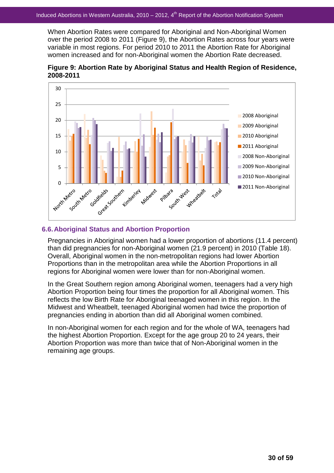When Abortion Rates were compared for Aboriginal and Non-Aboriginal Women over the period 2008 to 2011 (Figure 9), the Abortion Rates across four years were variable in most regions. For period 2010 to 2011 the Abortion Rate for Aboriginal women increased and for non-Aboriginal women the Abortion Rate decreased.

**Figure 9: Abortion Rate by Aboriginal Status and Health Region of Residence, 2008-2011** 



### **6.6. Aboriginal Status and Abortion Proportion**

Pregnancies in Aboriginal women had a lower proportion of abortions (11.4 percent) than did pregnancies for non-Aboriginal women (21.9 percent) in 2010 (Table 18). Overall, Aboriginal women in the non-metropolitan regions had lower Abortion Proportions than in the metropolitan area while the Abortion Proportions in all regions for Aboriginal women were lower than for non-Aboriginal women.

In the Great Southern region among Aboriginal women, teenagers had a very high Abortion Proportion being four times the proportion for all Aboriginal women. This reflects the low Birth Rate for Aboriginal teenaged women in this region. In the Midwest and Wheatbelt, teenaged Aboriginal women had twice the proportion of pregnancies ending in abortion than did all Aboriginal women combined.

In non-Aboriginal women for each region and for the whole of WA, teenagers had the highest Abortion Proportion. Except for the age group 20 to 24 years, their Abortion Proportion was more than twice that of Non-Aboriginal women in the remaining age groups.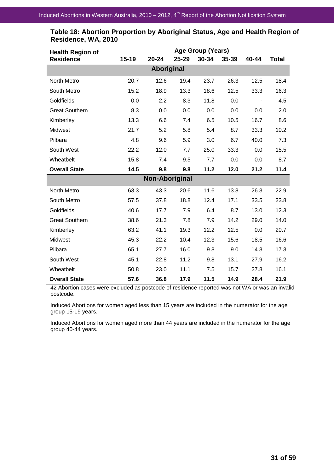| <b>Health Region of</b> |           |                       |           | Age Group (Years) |       |       |              |
|-------------------------|-----------|-----------------------|-----------|-------------------|-------|-------|--------------|
| <b>Residence</b>        | $15 - 19$ | 20-24                 | $25 - 29$ | 30-34             | 35-39 | 40-44 | <b>Total</b> |
|                         |           | <b>Aboriginal</b>     |           |                   |       |       |              |
| North Metro             | 20.7      | 12.6                  | 19.4      | 23.7              | 26.3  | 12.5  | 18.4         |
| South Metro             | 15.2      | 18.9                  | 13.3      | 18.6              | 12.5  | 33.3  | 16.3         |
| Goldfields              | 0.0       | 2.2                   | 8.3       | 11.8              | 0.0   |       | 4.5          |
| <b>Great Southern</b>   | 8.3       | 0.0                   | 0.0       | 0.0               | 0.0   | 0.0   | 2.0          |
| Kimberley               | 13.3      | 6.6                   | 7.4       | 6.5               | 10.5  | 16.7  | 8.6          |
| Midwest                 | 21.7      | 5.2                   | 5.8       | 5.4               | 8.7   | 33.3  | 10.2         |
| Pilbara                 | 4.8       | 9.6                   | 5.9       | 3.0               | 6.7   | 40.0  | 7.3          |
| South West              | 22.2      | 12.0                  | 7.7       | 25.0              | 33.3  | 0.0   | 15.5         |
| Wheatbelt               | 15.8      | 7.4                   | 9.5       | 7.7               | 0.0   | 0.0   | 8.7          |
| <b>Overall State</b>    | 14.5      | 9.8                   | 9.8       | 11.2              | 12.0  | 21.2  | 11.4         |
|                         |           | <b>Non-Aboriginal</b> |           |                   |       |       |              |
| North Metro             | 63.3      | 43.3                  | 20.6      | 11.6              | 13.8  | 26.3  | 22.9         |
| South Metro             | 57.5      | 37.8                  | 18.8      | 12.4              | 17.1  | 33.5  | 23.8         |
| Goldfields              | 40.6      | 17.7                  | 7.9       | 6.4               | 8.7   | 13.0  | 12.3         |
| <b>Great Southern</b>   | 38.6      | 21.3                  | 7.8       | 7.9               | 14.2  | 29.0  | 14.0         |
| Kimberley               | 63.2      | 41.1                  | 19.3      | 12.2              | 12.5  | 0.0   | 20.7         |
| Midwest                 | 45.3      | 22.2                  | 10.4      | 12.3              | 15.6  | 18.5  | 16.6         |
| Pilbara                 | 65.1      | 27.7                  | 16.0      | 9.8               | 9.0   | 14.3  | 17.3         |
| South West              | 45.1      | 22.8                  | 11.2      | 9.8               | 13.1  | 27.9  | 16.2         |
| Wheatbelt               | 50.8      | 23.0                  | 11.1      | 7.5               | 15.7  | 27.8  | 16.1         |
| <b>Overall State</b>    | 57.6      | 36.8                  | 17.9      | 11.5              | 14.9  | 28.4  | 21.9         |

| Table 18: Abortion Proportion by Aboriginal Status, Age and Health Region of |  |  |
|------------------------------------------------------------------------------|--|--|
| Residence, WA, 2010                                                          |  |  |

42 Abortion cases were excluded as postcode of residence reported was not WA or was an invalid postcode.

Induced Abortions for women aged less than 15 years are included in the numerator for the age group 15-19 years.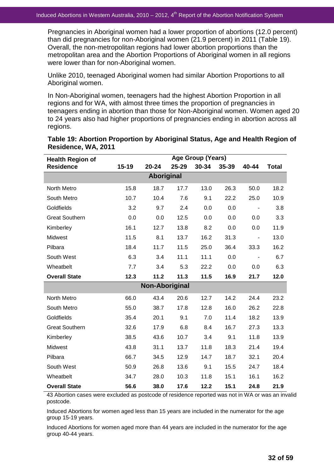Pregnancies in Aboriginal women had a lower proportion of abortions (12.0 percent) than did pregnancies for non-Aboriginal women (21.9 percent) in 2011 (Table 19). Overall, the non-metropolitan regions had lower abortion proportions than the metropolitan area and the Abortion Proportions of Aboriginal women in all regions were lower than for non-Aboriginal women.

Unlike 2010, teenaged Aboriginal women had similar Abortion Proportions to all Aboriginal women.

In Non-Aboriginal women, teenagers had the highest Abortion Proportion in all regions and for WA, with almost three times the proportion of pregnancies in teenagers ending in abortion than those for Non-Aboriginal women. Women aged 20 to 24 years also had higher proportions of pregnancies ending in abortion across all regions.

| <b>Health Region of</b> | <b>Age Group (Years)</b> |                       |           |       |       |       |              |
|-------------------------|--------------------------|-----------------------|-----------|-------|-------|-------|--------------|
| <b>Residence</b>        | $15 - 19$                | $20 - 24$             | $25 - 29$ | 30-34 | 35-39 | 40-44 | <b>Total</b> |
|                         |                          | <b>Aboriginal</b>     |           |       |       |       |              |
| North Metro             | 15.8                     | 18.7                  | 17.7      | 13.0  | 26.3  | 50.0  | 18.2         |
| South Metro             | 10.7                     | 10.4                  | 7.6       | 9.1   | 22.2  | 25.0  | 10.9         |
| Goldfields              | 3.2                      | 9.7                   | 2.4       | 0.0   | 0.0   |       | 3.8          |
| <b>Great Southern</b>   | 0.0                      | 0.0                   | 12.5      | 0.0   | 0.0   | 0.0   | 3.3          |
| Kimberley               | 16.1                     | 12.7                  | 13.8      | 8.2   | 0.0   | 0.0   | 11.9         |
| Midwest                 | 11.5                     | 8.1                   | 13.7      | 16.2  | 31.3  |       | 13.0         |
| Pilbara                 | 18.4                     | 11.7                  | 11.5      | 25.0  | 36.4  | 33.3  | 16.2         |
| South West              | 6.3                      | 3.4                   | 11.1      | 11.1  | 0.0   |       | 6.7          |
| Wheatbelt               | 7.7                      | 3.4                   | 5.3       | 22.2  | 0.0   | 0.0   | 6.3          |
| <b>Overall State</b>    | 12.3                     | 11.2                  | 11.3      | 11.5  | 16.9  | 21.7  | 12.0         |
|                         |                          | <b>Non-Aboriginal</b> |           |       |       |       |              |
| North Metro             | 66.0                     | 43.4                  | 20.6      | 12.7  | 14.2  | 24.4  | 23.2         |
| South Metro             | 55.0                     | 38.7                  | 17.8      | 12.8  | 16.0  | 26.2  | 22.8         |
| Goldfields              | 35.4                     | 20.1                  | 9.1       | 7.0   | 11.4  | 18.2  | 13.9         |
| <b>Great Southern</b>   | 32.6                     | 17.9                  | 6.8       | 8.4   | 16.7  | 27.3  | 13.3         |
| Kimberley               | 38.5                     | 43.6                  | 10.7      | 3.4   | 9.1   | 11.8  | 13.9         |
| Midwest                 | 43.8                     | 31.1                  | 13.7      | 11.8  | 18.3  | 21.4  | 19.4         |
| Pilbara                 | 66.7                     | 34.5                  | 12.9      | 14.7  | 18.7  | 32.1  | 20.4         |
| South West              | 50.9                     | 26.8                  | 13.6      | 9.1   | 15.5  | 24.7  | 18.4         |
| Wheatbelt               | 34.7                     | 28.0                  | 10.3      | 11.8  | 15.1  | 16.1  | 16.2         |
| <b>Overall State</b>    | 56.6                     | 38.0                  | 17.6      | 12.2  | 15.1  | 24.8  | 21.9         |

**Table 19: Abortion Proportion by Aboriginal Status, Age and Health Region of Residence, WA, 2011** 

43 Abortion cases were excluded as postcode of residence reported was not in WA or was an invalid postcode.

Induced Abortions for women aged less than 15 years are included in the numerator for the age group 15-19 years.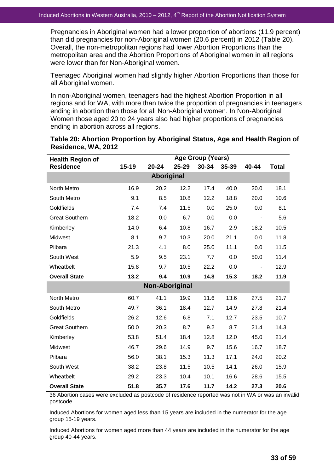Pregnancies in Aboriginal women had a lower proportion of abortions (11.9 percent) than did pregnancies for non-Aboriginal women (20.6 percent) in 2012 (Table 20). Overall, the non-metropolitan regions had lower Abortion Proportions than the metropolitan area and the Abortion Proportions of Aboriginal women in all regions were lower than for Non-Aboriginal women.

Teenaged Aboriginal women had slightly higher Abortion Proportions than those for all Aboriginal women.

In non-Aboriginal women, teenagers had the highest Abortion Proportion in all regions and for WA, with more than twice the proportion of pregnancies in teenagers ending in abortion than those for all Non-Aboriginal women. In Non-Aboriginal Women those aged 20 to 24 years also had higher proportions of pregnancies ending in abortion across all regions.

| <b>Health Region of</b> |           |                       |       | Age Group (Years) |       |       |              |  |  |
|-------------------------|-----------|-----------------------|-------|-------------------|-------|-------|--------------|--|--|
| <b>Residence</b>        | $15 - 19$ | $20 - 24$             | 25-29 | 30-34             | 35-39 | 40-44 | <b>Total</b> |  |  |
| Aboriginal              |           |                       |       |                   |       |       |              |  |  |
| North Metro             | 16.9      | 20.2                  | 12.2  | 17.4              | 40.0  | 20.0  | 18.1         |  |  |
| South Metro             | 9.1       | 8.5                   | 10.8  | 12.2              | 18.8  | 20.0  | 10.6         |  |  |
| Goldfields              | 7.4       | 7.4                   | 11.5  | 0.0               | 25.0  | 0.0   | 8.1          |  |  |
| <b>Great Southern</b>   | 18.2      | 0.0                   | 6.7   | 0.0               | 0.0   |       | 5.6          |  |  |
| Kimberley               | 14.0      | 6.4                   | 10.8  | 16.7              | 2.9   | 18.2  | 10.5         |  |  |
| Midwest                 | 8.1       | 9.7                   | 10.3  | 20.0              | 21.1  | 0.0   | 11.8         |  |  |
| Pilbara                 | 21.3      | 4.1                   | 8.0   | 25.0              | 11.1  | 0.0   | 11.5         |  |  |
| South West              | 5.9       | 9.5                   | 23.1  | 7.7               | 0.0   | 50.0  | 11.4         |  |  |
| Wheatbelt               | 15.8      | 9.7                   | 10.5  | 22.2              | 0.0   |       | 12.9         |  |  |
| <b>Overall State</b>    | 13.2      | 9.4                   | 10.9  | 14.8              | 15.3  | 18.2  | 11.9         |  |  |
|                         |           | <b>Non-Aboriginal</b> |       |                   |       |       |              |  |  |
| North Metro             | 60.7      | 41.1                  | 19.9  | 11.6              | 13.6  | 27.5  | 21.7         |  |  |
| South Metro             | 49.7      | 36.1                  | 18.4  | 12.7              | 14.9  | 27.8  | 21.4         |  |  |
| Goldfields              | 26.2      | 12.6                  | 6.8   | 7.1               | 12.7  | 23.5  | 10.7         |  |  |
| <b>Great Southern</b>   | 50.0      | 20.3                  | 8.7   | 9.2               | 8.7   | 21.4  | 14.3         |  |  |
| Kimberley               | 53.8      | 51.4                  | 18.4  | 12.8              | 12.0  | 45.0  | 21.4         |  |  |
| Midwest                 | 46.7      | 29.6                  | 14.9  | 9.7               | 15.6  | 16.7  | 18.7         |  |  |
| Pilbara                 | 56.0      | 38.1                  | 15.3  | 11.3              | 17.1  | 24.0  | 20.2         |  |  |
| South West              | 38.2      | 23.8                  | 11.5  | 10.5              | 14.1  | 26.0  | 15.9         |  |  |
| Wheatbelt               | 29.2      | 23.3                  | 10.4  | 10.1              | 16.6  | 28.6  | 15.5         |  |  |
| <b>Overall State</b>    | 51.8      | 35.7                  | 17.6  | 11.7              | 14.2  | 27.3  | 20.6         |  |  |

**Table 20: Abortion Proportion by Aboriginal Status, Age and Health Region of Residence, WA, 2012** 

36 Abortion cases were excluded as postcode of residence reported was not in WA or was an invalid postcode.

Induced Abortions for women aged less than 15 years are included in the numerator for the age group 15-19 years.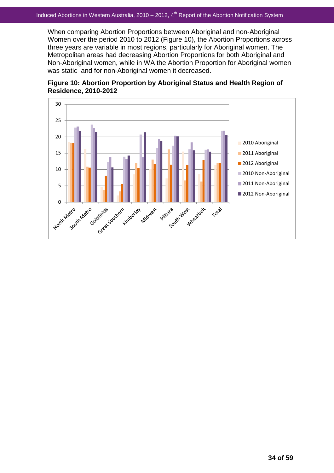When comparing Abortion Proportions between Aboriginal and non-Aboriginal Women over the period 2010 to 2012 (Figure 10), the Abortion Proportions across three years are variable in most regions, particularly for Aboriginal women. The Metropolitan areas had decreasing Abortion Proportions for both Aboriginal and Non-Aboriginal women, while in WA the Abortion Proportion for Aboriginal women was static and for non-Aboriginal women it decreased.



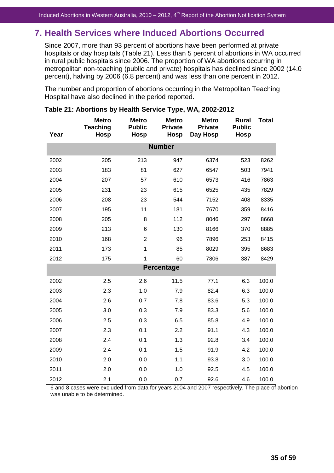# **7. Health Services where Induced Abortions Occurred**

Since 2007, more than 93 percent of abortions have been performed at private hospitals or day hospitals (Table 21). Less than 5 percent of abortions in WA occurred in rural public hospitals since 2006. The proportion of WA abortions occurring in metropolitan non-teaching (public and private) hospitals has declined since 2002 (14.0 percent), halving by 2006 (6.8 percent) and was less than one percent in 2012.

The number and proportion of abortions occurring in the Metropolitan Teaching Hospital have also declined in the period reported.

| Year | <b>Metro</b><br><b>Teaching</b><br><b>Hosp</b> | <b>Metro</b><br><b>Public</b><br><b>Hosp</b> | <b>Metro</b><br><b>Private</b><br><b>Hosp</b> | <b>Metro</b><br><b>Private</b><br>Day Hosp | <b>Rural</b><br><b>Public</b><br><b>Hosp</b> | <b>Total</b> |  |  |  |  |  |
|------|------------------------------------------------|----------------------------------------------|-----------------------------------------------|--------------------------------------------|----------------------------------------------|--------------|--|--|--|--|--|
|      | <b>Number</b>                                  |                                              |                                               |                                            |                                              |              |  |  |  |  |  |
| 2002 | 205                                            | 213                                          | 947                                           | 6374                                       | 523                                          | 8262         |  |  |  |  |  |
| 2003 | 183                                            | 81                                           | 627                                           | 6547                                       | 503                                          | 7941         |  |  |  |  |  |
| 2004 | 207                                            | 57                                           | 610                                           | 6573                                       | 416                                          | 7863         |  |  |  |  |  |
| 2005 | 231                                            | 23                                           | 615                                           | 6525                                       | 435                                          | 7829         |  |  |  |  |  |
| 2006 | 208                                            | 23                                           | 544                                           | 7152                                       | 408                                          | 8335         |  |  |  |  |  |
| 2007 | 195                                            | 11                                           | 181                                           | 7670                                       | 359                                          | 8416         |  |  |  |  |  |
| 2008 | 205                                            | 8                                            | 112                                           | 8046                                       | 297                                          | 8668         |  |  |  |  |  |
| 2009 | 213                                            | 6                                            | 130                                           | 8166                                       | 370                                          | 8885         |  |  |  |  |  |
| 2010 | 168                                            | $\overline{2}$                               | 96                                            | 7896                                       | 253                                          | 8415         |  |  |  |  |  |
| 2011 | 173                                            | $\mathbf 1$                                  | 85                                            | 8029                                       | 395                                          | 8683         |  |  |  |  |  |
| 2012 | 175                                            | 1                                            | 60                                            | 7806                                       | 387                                          | 8429         |  |  |  |  |  |
|      |                                                |                                              | <b>Percentage</b>                             |                                            |                                              |              |  |  |  |  |  |
| 2002 | 2.5                                            | 2.6                                          | 11.5                                          | 77.1                                       | 6.3                                          | 100.0        |  |  |  |  |  |
| 2003 | 2.3                                            | 1.0                                          | 7.9                                           | 82.4                                       | 6.3                                          | 100.0        |  |  |  |  |  |
| 2004 | 2.6                                            | 0.7                                          | 7.8                                           | 83.6                                       | 5.3                                          | 100.0        |  |  |  |  |  |
| 2005 | 3.0                                            | 0.3                                          | 7.9                                           | 83.3                                       | 5.6                                          | 100.0        |  |  |  |  |  |
| 2006 | 2.5                                            | 0.3                                          | 6.5                                           | 85.8                                       | 4.9                                          | 100.0        |  |  |  |  |  |
| 2007 | 2.3                                            | 0.1                                          | 2.2                                           | 91.1                                       | 4.3                                          | 100.0        |  |  |  |  |  |
| 2008 | 2.4                                            | 0.1                                          | 1.3                                           | 92.8                                       | 3.4                                          | 100.0        |  |  |  |  |  |
| 2009 | 2.4                                            | 0.1                                          | 1.5                                           | 91.9                                       | 4.2                                          | 100.0        |  |  |  |  |  |
| 2010 | 2.0                                            | 0.0                                          | 1.1                                           | 93.8                                       | 3.0                                          | 100.0        |  |  |  |  |  |
| 2011 | 2.0                                            | 0.0                                          | 1.0                                           | 92.5                                       | 4.5                                          | 100.0        |  |  |  |  |  |
| 2012 | 2.1                                            | 0.0                                          | 0.7                                           | 92.6                                       | 4.6                                          | 100.0        |  |  |  |  |  |

#### **Table 21: Abortions by Health Service Type, WA, 2002-2012**

6 and 8 cases were excluded from data for years 2004 and 2007 respectively. The place of abortion was unable to be determined.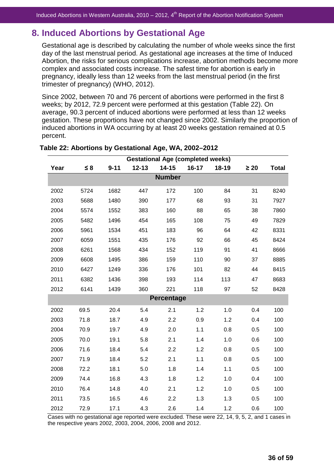# **8. Induced Abortions by Gestational Age**

Gestational age is described by calculating the number of whole weeks since the first day of the last menstrual period. As gestational age increases at the time of Induced Abortion, the risks for serious complications increase, abortion methods become more complex and associated costs increase. The safest time for abortion is early in pregnancy, ideally less than 12 weeks from the last menstrual period (in the first trimester of pregnancy) (WHO, 2012).

Since 2002, between 70 and 76 percent of abortions were performed in the first 8 weeks; by 2012, 72.9 percent were performed at this gestation (Table 22). On average, 90.3 percent of induced abortions were performed at less than 12 weeks gestation. These proportions have not changed since 2002. Similarly the proportion of induced abortions in WA occurring by at least 20 weeks gestation remained at 0.5 percent.

|      | <b>Gestational Age (completed weeks)</b> |          |           |               |           |         |           |              |
|------|------------------------------------------|----------|-----------|---------------|-----------|---------|-----------|--------------|
| Year | $\leq 8$                                 | $9 - 11$ | $12 - 13$ | $14 - 15$     | $16 - 17$ | $18-19$ | $\geq 20$ | <b>Total</b> |
|      |                                          |          |           | <b>Number</b> |           |         |           |              |
| 2002 | 5724                                     | 1682     | 447       | 172           | 100       | 84      | 31        | 8240         |
| 2003 | 5688                                     | 1480     | 390       | 177           | 68        | 93      | 31        | 7927         |
| 2004 | 5574                                     | 1552     | 383       | 160           | 88        | 65      | 38        | 7860         |
| 2005 | 5482                                     | 1496     | 454       | 165           | 108       | 75      | 49        | 7829         |
| 2006 | 5961                                     | 1534     | 451       | 183           | 96        | 64      | 42        | 8331         |
| 2007 | 6059                                     | 1551     | 435       | 176           | 92        | 66      | 45        | 8424         |
| 2008 | 6261                                     | 1568     | 434       | 152           | 119       | 91      | 41        | 8666         |
| 2009 | 6608                                     | 1495     | 386       | 159           | 110       | 90      | 37        | 8885         |
| 2010 | 6427                                     | 1249     | 336       | 176           | 101       | 82      | 44        | 8415         |
| 2011 | 6382                                     | 1436     | 398       | 193           | 114       | 113     | 47        | 8683         |
| 2012 | 6141                                     | 1439     | 360       | 221           | 118       | 97      | 52        | 8428         |
|      |                                          |          |           | Percentage    |           |         |           |              |
| 2002 | 69.5                                     | 20.4     | 5.4       | 2.1           | 1.2       | 1.0     | 0.4       | 100          |
| 2003 | 71.8                                     | 18.7     | 4.9       | 2.2           | 0.9       | 1.2     | 0.4       | 100          |
| 2004 | 70.9                                     | 19.7     | 4.9       | 2.0           | 1.1       | 0.8     | 0.5       | 100          |
| 2005 | 70.0                                     | 19.1     | 5.8       | 2.1           | 1.4       | 1.0     | 0.6       | 100          |
| 2006 | 71.6                                     | 18.4     | 5.4       | 2.2           | 1.2       | 0.8     | 0.5       | 100          |
| 2007 | 71.9                                     | 18.4     | 5.2       | 2.1           | 1.1       | 0.8     | 0.5       | 100          |
| 2008 | 72.2                                     | 18.1     | 5.0       | 1.8           | 1.4       | 1.1     | 0.5       | 100          |
| 2009 | 74.4                                     | 16.8     | 4.3       | 1.8           | 1.2       | 1.0     | 0.4       | 100          |
| 2010 | 76.4                                     | 14.8     | 4.0       | 2.1           | 1.2       | 1.0     | 0.5       | 100          |
| 2011 | 73.5                                     | 16.5     | 4.6       | 2.2           | 1.3       | 1.3     | 0.5       | 100          |
| 2012 | 72.9                                     | 17.1     | 4.3       | 2.6           | 1.4       | 1.2     | 0.6       | 100          |

## **Table 22: Abortions by Gestational Age, WA, 2002–2012**

Cases with no gestational age reported were excluded. These were 22, 14, 9, 5, 2, and 1 cases in the respective years 2002, 2003, 2004, 2006, 2008 and 2012.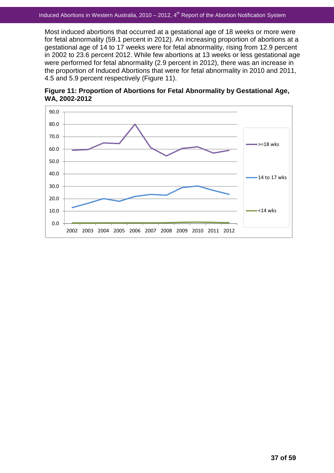Most induced abortions that occurred at a gestational age of 18 weeks or more were for fetal abnormality (59.1 percent in 2012). An increasing proportion of abortions at a gestational age of 14 to 17 weeks were for fetal abnormality, rising from 12.9 percent in 2002 to 23.6 percent 2012. While few abortions at 13 weeks or less gestational age were performed for fetal abnormality (2.9 percent in 2012), there was an increase in the proportion of Induced Abortions that were for fetal abnormality in 2010 and 2011, 4.5 and 5.9 percent respectively (Figure 11).



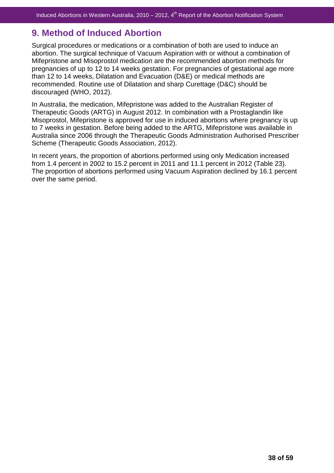# **9. Method of Induced Abortion**

Surgical procedures or medications or a combination of both are used to induce an abortion. The surgical technique of Vacuum Aspiration with or without a combination of Mifepristone and Misoprostol medication are the recommended abortion methods for pregnancies of up to 12 to 14 weeks gestation. For pregnancies of gestational age more than 12 to 14 weeks, Dilatation and Evacuation (D&E) or medical methods are recommended. Routine use of Dilatation and sharp Curettage (D&C) should be discouraged (WHO, 2012).

In Australia, the medication, Mifepristone was added to the Australian Register of Therapeutic Goods (ARTG) in August 2012. In combination with a Prostaglandin like Misoprostol, Mifepristone is approved for use in induced abortions where pregnancy is up to 7 weeks in gestation. Before being added to the ARTG, Mifepristone was available in Australia since 2006 through the Therapeutic Goods Administration Authorised Prescriber Scheme (Therapeutic Goods Association, 2012).

In recent years, the proportion of abortions performed using only Medication increased from 1.4 percent in 2002 to 15.2 percent in 2011 and 11.1 percent in 2012 (Table 23). The proportion of abortions performed using Vacuum Aspiration declined by 16.1 percent over the same period.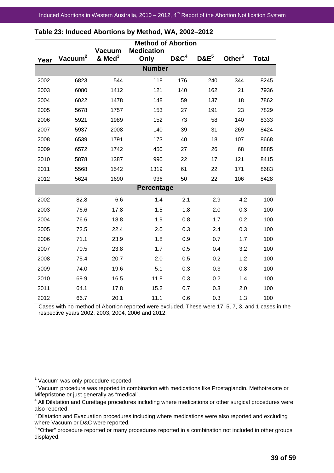| <b>Method of Abortion</b> |                     |                                     |                           |                  |                  |                    |              |  |  |  |  |
|---------------------------|---------------------|-------------------------------------|---------------------------|------------------|------------------|--------------------|--------------|--|--|--|--|
| Year                      | Vacuum <sup>2</sup> | <b>Vacuum</b><br>& Med <sup>3</sup> | <b>Medication</b><br>Only | D&C <sup>4</sup> | DAE <sup>5</sup> | Other <sup>6</sup> | <b>Total</b> |  |  |  |  |
| <b>Number</b>             |                     |                                     |                           |                  |                  |                    |              |  |  |  |  |
| 2002                      | 6823                | 544                                 | 118                       | 176              | 240              | 344                | 8245         |  |  |  |  |
| 2003                      | 6080                | 1412                                | 121                       | 140              | 162              | 21                 | 7936         |  |  |  |  |
| 2004                      | 6022                | 1478                                | 148                       | 59               | 137              | 18                 | 7862         |  |  |  |  |
| 2005                      | 5678                | 1757                                | 153                       | 27               | 191              | 23                 | 7829         |  |  |  |  |
| 2006                      | 5921                | 1989                                | 152                       | 73               | 58               | 140                | 8333         |  |  |  |  |
| 2007                      | 5937                | 2008                                | 140                       | 39               | 31               | 269                | 8424         |  |  |  |  |
| 2008                      | 6539                | 1791                                | 173                       | 40               | 18               | 107                | 8668         |  |  |  |  |
| 2009                      | 6572                | 1742                                | 450                       | 27               | 26               | 68                 | 8885         |  |  |  |  |
| 2010                      | 5878                | 1387                                | 990                       | 22               | 17               | 121                | 8415         |  |  |  |  |
| 2011                      | 5568                | 1542                                | 1319                      | 61               | 22               | 171                | 8683         |  |  |  |  |
| 2012                      | 5624                | 1690                                | 936                       | 50               | 22               | 106                | 8428         |  |  |  |  |
|                           |                     |                                     | Percentage                |                  |                  |                    |              |  |  |  |  |
| 2002                      | 82.8                | 6.6                                 | 1.4                       | 2.1              | 2.9              | 4.2                | 100          |  |  |  |  |
| 2003                      | 76.6                | 17.8                                | 1.5                       | 1.8              | 2.0              | 0.3                | 100          |  |  |  |  |
| 2004                      | 76.6                | 18.8                                | 1.9                       | 0.8              | 1.7              | 0.2                | 100          |  |  |  |  |
| 2005                      | 72.5                | 22.4                                | 2.0                       | 0.3              | 2.4              | 0.3                | 100          |  |  |  |  |
| 2006                      | 71.1                | 23.9                                | 1.8                       | 0.9              | 0.7              | 1.7                | 100          |  |  |  |  |
| 2007                      | 70.5                | 23.8                                | 1.7                       | 0.5              | 0.4              | 3.2                | 100          |  |  |  |  |
| 2008                      | 75.4                | 20.7                                | 2.0                       | 0.5              | 0.2              | 1.2                | 100          |  |  |  |  |
| 2009                      | 74.0                | 19.6                                | 5.1                       | 0.3              | 0.3              | 0.8                | 100          |  |  |  |  |
| 2010                      | 69.9                | 16.5                                | 11.8                      | 0.3              | 0.2              | 1.4                | 100          |  |  |  |  |
| 2011                      | 64.1                | 17.8                                | 15.2                      | 0.7              | 0.3              | 2.0                | 100          |  |  |  |  |
| 2012                      | 66.7                | 20.1                                | 11.1                      | 0.6              | 0.3              | 1.3                | 100          |  |  |  |  |

# **Table 23: Induced Abortions by Method, WA, 2002–2012**

Cases with no method of Abortion reported were excluded. These were 17, 5, 7, 3, and 1 cases in the respective years 2002, 2003, 2004, 2006 and 2012.

 2 Vacuum was only procedure reported

 $3$  Vacuum procedure was reported in combination with medications like Prostaglandin, Methotrexate or Mifepristone or just generally as "medical".

<sup>&</sup>lt;sup>4</sup> All Dilatation and Curettage procedures including where medications or other surgical procedures were also reported.

 $<sup>5</sup>$  Dilatation and Evacuation procedures including where medications were also reported and excluding</sup> where Vacuum or D&C were reported.

 $6$  "Other" procedure reported or many procedures reported in a combination not included in other groups displayed.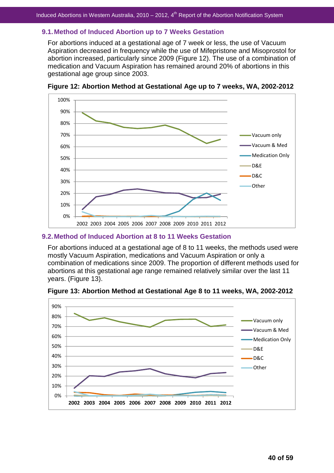#### **9.1. Method of Induced Abortion up to 7 Weeks Gestation**

For abortions induced at a gestational age of 7 week or less, the use of Vacuum Aspiration decreased in frequency while the use of Mifepristone and Misoprostol for abortion increased, particularly since 2009 (Figure 12). The use of a combination of medication and Vacuum Aspiration has remained around 20% of abortions in this gestational age group since 2003.



**Figure 12: Abortion Method at Gestational Age up to 7 weeks, WA, 2002-2012** 

#### **9.2. Method of Induced Abortion at 8 to 11 Weeks Gestation**

For abortions induced at a gestational age of 8 to 11 weeks, the methods used were mostly Vacuum Aspiration, medications and Vacuum Aspiration or only a combination of medications since 2009. The proportion of different methods used for abortions at this gestational age range remained relatively similar over the last 11 years. (Figure 13).



**Figure 13: Abortion Method at Gestational Age 8 to 11 weeks, WA, 2002-2012**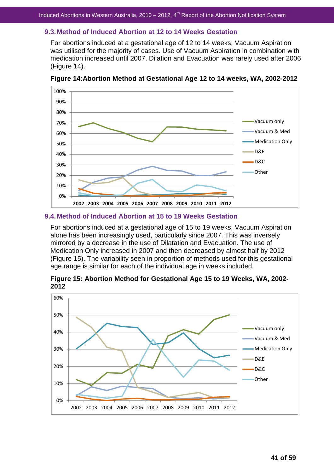## **9.3. Method of Induced Abortion at 12 to 14 Weeks Gestation**

For abortions induced at a gestational age of 12 to 14 weeks, Vacuum Aspiration was utilised for the majority of cases. Use of Vacuum Aspiration in combination with medication increased until 2007. Dilation and Evacuation was rarely used after 2006 (Figure 14).



**Figure 14:Abortion Method at Gestational Age 12 to 14 weeks, WA, 2002-2012** 

#### **9.4. Method of Induced Abortion at 15 to 19 Weeks Gestation**

For abortions induced at a gestational age of 15 to 19 weeks, Vacuum Aspiration alone has been increasingly used, particularly since 2007. This was inversely mirrored by a decrease in the use of Dilatation and Evacuation. The use of Medication Only increased in 2007 and then decreased by almost half by 2012 (Figure 15). The variability seen in proportion of methods used for this gestational age range is similar for each of the individual age in weeks included.

![](_page_52_Figure_7.jpeg)

**Figure 15: Abortion Method for Gestational Age 15 to 19 Weeks, WA, 2002- 2012**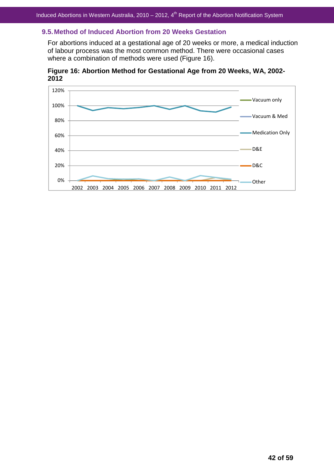### **9.5. Method of Induced Abortion from 20 Weeks Gestation**

For abortions induced at a gestational age of 20 weeks or more, a medical induction of labour process was the most common method. There were occasional cases where a combination of methods were used (Figure 16).

**Figure 16: Abortion Method for Gestational Age from 20 Weeks, WA, 2002- 2012** 

![](_page_53_Figure_4.jpeg)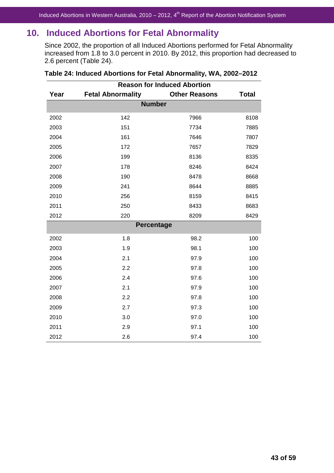# **10. Induced Abortions for Fetal Abnormality**

Since 2002, the proportion of all Induced Abortions performed for Fetal Abnormality increased from 1.8 to 3.0 percent in 2010. By 2012, this proportion had decreased to 2.6 percent (Table 24).

|      | <b>Reason for Induced Abortion</b> |                      |              |  |  |  |  |  |  |  |
|------|------------------------------------|----------------------|--------------|--|--|--|--|--|--|--|
| Year | <b>Fetal Abnormality</b>           | <b>Other Reasons</b> | <b>Total</b> |  |  |  |  |  |  |  |
|      | <b>Number</b>                      |                      |              |  |  |  |  |  |  |  |
|      |                                    |                      |              |  |  |  |  |  |  |  |
| 2002 | 142                                | 7966                 | 8108         |  |  |  |  |  |  |  |
| 2003 | 151                                | 7734                 | 7885         |  |  |  |  |  |  |  |
| 2004 | 161                                | 7646                 | 7807         |  |  |  |  |  |  |  |
| 2005 | 172                                | 7657                 | 7829         |  |  |  |  |  |  |  |
| 2006 | 199                                | 8136                 | 8335         |  |  |  |  |  |  |  |
| 2007 | 178                                | 8246                 | 8424         |  |  |  |  |  |  |  |
| 2008 | 190                                | 8478                 | 8668         |  |  |  |  |  |  |  |
| 2009 | 241                                | 8644                 | 8885         |  |  |  |  |  |  |  |
| 2010 | 256                                | 8159                 | 8415         |  |  |  |  |  |  |  |
| 2011 | 250                                | 8433                 | 8683         |  |  |  |  |  |  |  |
| 2012 | 220                                | 8209                 | 8429         |  |  |  |  |  |  |  |
|      | <b>Percentage</b>                  |                      |              |  |  |  |  |  |  |  |
| 2002 | 1.8                                | 98.2                 | 100          |  |  |  |  |  |  |  |
| 2003 | 1.9                                | 98.1                 | 100          |  |  |  |  |  |  |  |
| 2004 | 2.1                                | 97.9                 | 100          |  |  |  |  |  |  |  |
| 2005 | 2.2                                | 97.8                 | 100          |  |  |  |  |  |  |  |
| 2006 | 2.4                                | 97.6                 | 100          |  |  |  |  |  |  |  |
| 2007 | 2.1                                | 97.9                 | 100          |  |  |  |  |  |  |  |
| 2008 | 2.2                                | 97.8                 | 100          |  |  |  |  |  |  |  |
| 2009 | 2.7                                | 97.3                 | 100          |  |  |  |  |  |  |  |
| 2010 | 3.0                                | 97.0                 | 100          |  |  |  |  |  |  |  |
| 2011 | 2.9                                | 97.1                 | 100          |  |  |  |  |  |  |  |
| 2012 | 2.6                                | 97.4                 | 100          |  |  |  |  |  |  |  |

## **Table 24: Induced Abortions for Fetal Abnormality, WA, 2002–2012**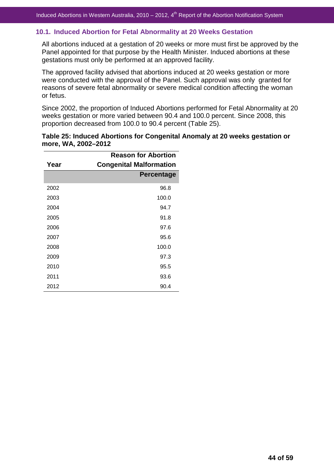### **10.1. Induced Abortion for Fetal Abnormality at 20 Weeks Gestation**

All abortions induced at a gestation of 20 weeks or more must first be approved by the Panel appointed for that purpose by the Health Minister. Induced abortions at these gestations must only be performed at an approved facility.

The approved facility advised that abortions induced at 20 weeks gestation or more were conducted with the approval of the Panel. Such approval was only granted for reasons of severe fetal abnormality or severe medical condition affecting the woman or fetus.

Since 2002, the proportion of Induced Abortions performed for Fetal Abnormality at 20 weeks gestation or more varied between 90.4 and 100.0 percent. Since 2008, this proportion decreased from 100.0 to 90.4 percent (Table 25).

|      | <b>Reason for Abortion</b>     |
|------|--------------------------------|
| Year | <b>Congenital Malformation</b> |
|      | <b>Percentage</b>              |
| 2002 | 96.8                           |
| 2003 | 100.0                          |
| 2004 | 94.7                           |
| 2005 | 91.8                           |
| 2006 | 97.6                           |
| 2007 | 95.6                           |
| 2008 | 100.0                          |
| 2009 | 97.3                           |
| 2010 | 95.5                           |
| 2011 | 93.6                           |
| 2012 | 90.4                           |

|                     | Table 25: Induced Abortions for Congenital Anomaly at 20 weeks gestation or |  |
|---------------------|-----------------------------------------------------------------------------|--|
| more, WA, 2002-2012 |                                                                             |  |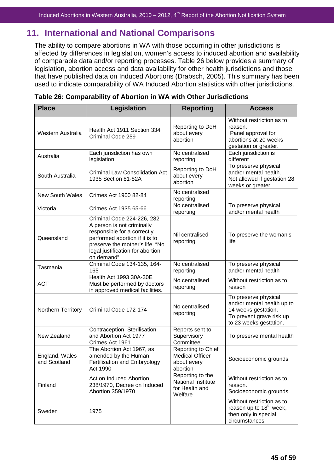# **11. International and National Comparisons**

The ability to compare abortions in WA with those occurring in other jurisdictions is affected by differences in legislation, women's access to induced abortion and availability of comparable data and/or reporting processes. Table 26 below provides a summary of legislation, abortion access and data availability for other health jurisdictions and those that have published data on Induced Abortions (Drabsch, 2005). This summary has been used to indicate comparability of WA Induced Abortion statistics with other jurisdictions.

| <b>Place</b>                   | Legislation                                                                                                                                                                                                    | <b>Reporting</b>                                                        | <b>Access</b>                                                                                                                   |
|--------------------------------|----------------------------------------------------------------------------------------------------------------------------------------------------------------------------------------------------------------|-------------------------------------------------------------------------|---------------------------------------------------------------------------------------------------------------------------------|
| Western Australia              | Health Act 1911 Section 334<br>Criminal Code 259                                                                                                                                                               | Reporting to DoH<br>about every<br>abortion                             | Without restriction as to<br>reason.<br>Panel approval for<br>abortions at 20 weeks<br>gestation or greater.                    |
| Australia                      | Each jurisdiction has own<br>legislation                                                                                                                                                                       | No centralised<br>reporting                                             | Each jurisdiction is<br>different                                                                                               |
| South Australia                | <b>Criminal Law Consolidation Act</b><br>1935 Section 81-82A                                                                                                                                                   | Reporting to DoH<br>about every<br>abortion                             | To preserve physical<br>and/or mental health.<br>Not allowed if gestation 28<br>weeks or greater.                               |
| <b>New South Wales</b>         | Crimes Act 1900 82-84                                                                                                                                                                                          | No centralised<br>reporting                                             |                                                                                                                                 |
| Victoria                       | Crimes Act 1935 65-66                                                                                                                                                                                          | No centralised<br>reporting                                             | To preserve physical<br>and/or mental health                                                                                    |
| Queensland                     | Criminal Code 224-226, 282<br>A person is not criminally<br>responsible for a correctly<br>performed abortion if it is to<br>preserve the mother's life. "No<br>legal justification for abortion<br>on demand" | Nil centralised<br>reporting                                            | To preserve the woman's<br>life                                                                                                 |
| Tasmania                       | Criminal Code 134-135, 164-<br>165                                                                                                                                                                             | No centralised<br>reporting                                             | To preserve physical<br>and/or mental health                                                                                    |
| <b>ACT</b>                     | Health Act 1993 30A-30E<br>Must be performed by doctors<br>in approved medical facilities.                                                                                                                     | No centralised<br>reporting                                             | Without restriction as to<br>reason                                                                                             |
| Northern Territory             | Criminal Code 172-174                                                                                                                                                                                          | No centralised<br>reporting                                             | To preserve physical<br>and/or mental health up to<br>14 weeks gestation.<br>To prevent grave risk up<br>to 23 weeks gestation. |
| New Zealand                    | Contraception, Sterilisation<br>and Abortion Act 1977<br>Crimes Act 1961                                                                                                                                       | Reports sent to<br>Supervisory<br>Committee                             | To preserve mental health                                                                                                       |
| England, Wales<br>and Scotland | The Abortion Act 1967, as<br>amended by the Human<br>Fertilisation and Embryology<br>Act 1990                                                                                                                  | Reporting to Chief<br><b>Medical Officer</b><br>about every<br>abortion | Socioeconomic grounds                                                                                                           |
| Finland                        | Act on Induced Abortion<br>238/1970, Decree on Induced<br>Abortion 359/1970                                                                                                                                    | Reporting to the<br>National Institute<br>for Health and<br>Welfare     | Without restriction as to<br>reason.<br>Socioeconomic grounds                                                                   |
| Sweden                         | 1975                                                                                                                                                                                                           |                                                                         | Without restriction as to<br>reason up to $18th$ week,<br>then only in special<br>circumstances                                 |

|  |  |  |  |  | Table 26: Comparability of Abortion in WA with Other Jurisdictions |  |
|--|--|--|--|--|--------------------------------------------------------------------|--|
|  |  |  |  |  |                                                                    |  |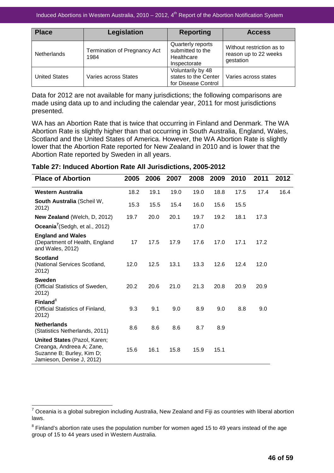| <b>Place</b>         | Legislation                                 | <b>Reporting</b>                                                    | <b>Access</b>                                                   |
|----------------------|---------------------------------------------|---------------------------------------------------------------------|-----------------------------------------------------------------|
| <b>Netherlands</b>   | <b>Termination of Pregnancy Act</b><br>1984 | Quarterly reports<br>submitted to the<br>Healthcare<br>Inspectorate | Without restriction as to<br>reason up to 22 weeks<br>gestation |
| <b>United States</b> | Varies across States                        | Voluntarily by 48<br>states to the Center<br>for Disease Control    | Varies across states                                            |

Data for 2012 are not available for many jurisdictions; the following comparisons are made using data up to and including the calendar year, 2011 for most jurisdictions presented.

WA has an Abortion Rate that is twice that occurring in Finland and Denmark. The WA Abortion Rate is slightly higher than that occurring in South Australia, England, Wales, Scotland and the United States of America. However, the WA Abortion Rate is slightly lower that the Abortion Rate reported for New Zealand in 2010 and is lower that the Abortion Rate reported by Sweden in all years.

| <b>Place of Abortion</b>                                                                                            | 2005 | 2006 | 2007 | 2008 | 2009 | 2010 | 2011 | 2012 |
|---------------------------------------------------------------------------------------------------------------------|------|------|------|------|------|------|------|------|
| <b>Western Australia</b>                                                                                            | 18.2 | 19.1 | 19.0 | 19.0 | 18.8 | 17.5 | 17.4 | 16.4 |
| South Australia (Scheil W,<br>2012)                                                                                 | 15.3 | 15.5 | 15.4 | 16.0 | 15.6 | 15.5 |      |      |
| New Zealand (Welch, D, 2012)                                                                                        | 19.7 | 20.0 | 20.1 | 19.7 | 19.2 | 18.1 | 17.3 |      |
| Oceania <sup>7</sup> (Sedgh, et al., 2012)                                                                          |      |      |      | 17.0 |      |      |      |      |
| <b>England and Wales</b><br>(Department of Health, England<br>and Wales, 2012)                                      | 17   | 17.5 | 17.9 | 17.6 | 17.0 | 17.1 | 17.2 |      |
| <b>Scotland</b><br>(National Services Scotland,<br>2012)                                                            | 12.0 | 12.5 | 13.1 | 13.3 | 12.6 | 12.4 | 12.0 |      |
| <b>Sweden</b><br>(Official Statistics of Sweden,<br>2012)                                                           | 20.2 | 20.6 | 21.0 | 21.3 | 20.8 | 20.9 | 20.9 |      |
| Finland <sup>8</sup><br>(Official Statistics of Finland,<br>2012)                                                   | 9.3  | 9.1  | 9.0  | 8.9  | 9.0  | 8.8  | 9.0  |      |
| <b>Netherlands</b><br>(Statistics Netherlands, 2011)                                                                | 8.6  | 8.6  | 8.6  | 8.7  | 8.9  |      |      |      |
| United States (Pazol, Karen;<br>Creanga, Andreea A; Zane,<br>Suzanne B; Burley, Kim D;<br>Jamieson, Denise J, 2012) | 15.6 | 16.1 | 15.8 | 15.9 | 15.1 |      |      |      |

#### **Table 27: Induced Abortion Rate All Jurisdictions, 2005-2012**

<sup>————————————————————&</sup>lt;br><sup>7</sup> Oceania is a global subregion including Australia, New Zealand and Fiji as countries with liberal abortion i laws.

 $^8$  Finland's abortion rate uses the population number for women aged 15 to 49 years instead of the age group of 15 to 44 years used in Western Australia.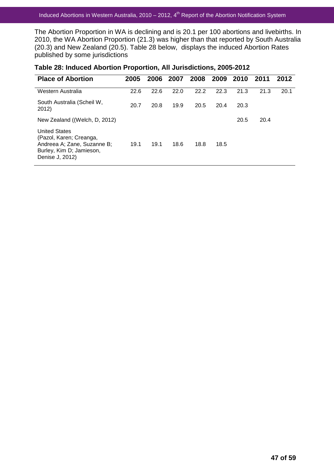#### Induced Abortions in Western Australia, 2010 – 2012,  $4<sup>th</sup>$  Report of the Abortion Notification System

The Abortion Proportion in WA is declining and is 20.1 per 100 abortions and livebirths. In 2010, the WA Abortion Proportion (21.3) was higher than that reported by South Australia (20.3) and New Zealand (20.5). Table 28 below, displays the induced Abortion Rates published by some jurisdictions

| <b>Place of Abortion</b>                                                                                                      | 2005 | 2006 | 2007 | 2008 | 2009 | 2010 | 2011 | 2012 |
|-------------------------------------------------------------------------------------------------------------------------------|------|------|------|------|------|------|------|------|
| Western Australia                                                                                                             | 22.6 | 22.6 | 22.0 | 22.2 | 22.3 | 21.3 | 21.3 | 20.1 |
| South Australia (Scheil W,<br>2012)                                                                                           | 20.7 | 20.8 | 19.9 | 20.5 | 20.4 | 20.3 |      |      |
| New Zealand ((Welch, D, 2012)                                                                                                 |      |      |      |      |      | 20.5 | 20.4 |      |
| <b>United States</b><br>(Pazol, Karen; Creanga,<br>Andreea A; Zane, Suzanne B;<br>Burley, Kim D; Jamieson,<br>Denise J, 2012) | 19.1 | 19.1 | 18.6 | 18.8 | 18.5 |      |      |      |

# **Table 28: Induced Abortion Proportion, All Jurisdictions, 2005-2012**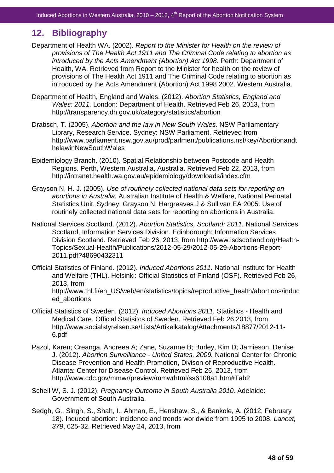# **12. Bibliography**

- Department of Health WA. (2002). Report to the Minister for Health on the review of provisions of The Health Act 1911 and The Criminal Code relating to abortion as introduced by the Acts Amendment (Abortion) Act 1998. Perth: Department of Health, WA. Retrieved from Report to the Minister for health on the review of provisions of The Health Act 1911 and The Criminal Code relating to abortion as introduced by the Acts Amendment (Abortion) Act 1998 2002. Western Australia.
- Department of Health, England and Wales. (2012). Abortion Statistics, England and Wales: 2011. London: Department of Health. Retrieved Feb 26, 2013, from http://transparency.dh.gov.uk/category/statistics/abortion
- Drabsch, T. (2005). Abortion and the law in New South Wales. NSW Parliamentary Library, Research Service. Sydney: NSW Parliament. Retrieved from http://www.parliament.nsw.gov.au/prod/parlment/publications.nsf/key/Abortionandt helawinNewSouthWales
- Epidemiology Branch. (2010). Spatial Relationship between Postcode and Health Regions. Perth, Western Australia, Australia. Retrieved Feb 22, 2013, from http://intranet.health.wa.gov.au/epidemiology/downloads/index.cfm
- Grayson N, H. J. (2005). Use of routinely collected national data sets for reporting on abortions in Australia. Australian Institute of Health & Welfare, National Perinatal Statistics Unit. Sydney: Grayson N, Hargreaves J & Sullivan EA 2005. Use of routinely collected national data sets for reporting on abortions in Australia.
- National Services Scotland. (2012). Abortion Statistics, Scotland: 2011. National Services Scotland, Information Services Division. Edinborough: Information Services Division Scotland. Retrieved Feb 26, 2013, from http://www.isdscotland.org/Health-Topics/Sexual-Health/Publications/2012-05-29/2012-05-29-Abortions-Report-2011.pdf?48690432311
- Official Statistics of Finland. (2012). Induced Abortions 2011. National Institute for Health and Welfare (THL). Helsinki: Official Statistics of Finland (OSF). Retrieved Feb 26, 2013, from http://www.thl.fi/en\_US/web/en/statistics/topics/reproductive\_health/abortions/induc ed\_abortions
- Official Statistics of Sweden. (2012). Induced Abortions 2011. Statistics Health and Medical Care. Official Statisitcs of Sweden. Retrieved Feb 26 2013, from http://www.socialstyrelsen.se/Lists/Artikelkatalog/Attachments/18877/2012-11- 6.pdf
- Pazol, Karen; Creanga, Andreea A; Zane, Suzanne B; Burley, Kim D; Jamieson, Denise J. (2012). Abortion Surveillance - United States, 2009. National Center for Chronic Disease Prevention and Health Promotion, Divison of Reproductive Health. Atlanta: Center for Disease Control. Retrieved Feb 26, 2013, from http://www.cdc.gov/mmwr/preview/mmwrhtml/ss6108a1.htm#Tab2
- Scheil W, S. J. (2012). Pregnancy Outcome in South Australia 2010. Adelaide: Government of South Australia.
- Sedgh, G., Singh, S., Shah, I., Ahman, E., Henshaw, S., & Bankole, A. (2012, February 18). Induced abortion: incidence and trends worldwide from 1995 to 2008. Lancet, 379, 625-32. Retrieved May 24, 2013, from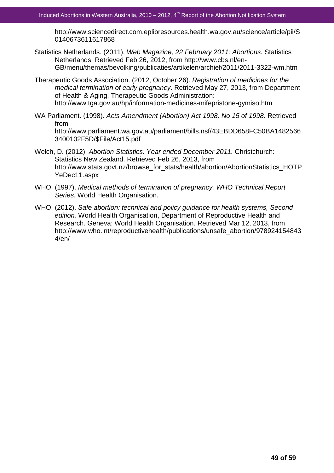http://www.sciencedirect.com.eplibresources.health.wa.gov.au/science/article/pii/S 0140673611617868

- Statistics Netherlands. (2011). Web Magazine, 22 February 2011: Abortions. Statistics Netherlands. Retrieved Feb 26, 2012, from http://www.cbs.nl/en-GB/menu/themas/bevolking/publicaties/artikelen/archief/2011/2011-3322-wm.htm
- Therapeutic Goods Association. (2012, October 26). Registration of medicines for the medical termination of early pregnancy. Retrieved May 27, 2013, from Department of Health & Aging, Therapeutic Goods Administration: http://www.tga.gov.au/hp/information-medicines-mifepristone-gymiso.htm
- WA Parliament. (1998). Acts Amendment (Abortion) Act 1998. No 15 of 1998. Retrieved from http://www.parliament.wa.gov.au/parliament/bills.nsf/43EBDD658FC50BA1482566 3400102F5D/\$File/Act15.pdf
- Welch, D. (2012). Abortion Statistics: Year ended December 2011. Christchurch: Statistics New Zealand. Retrieved Feb 26, 2013, from http://www.stats.govt.nz/browse\_for\_stats/health/abortion/AbortionStatistics\_HOTP YeDec11.aspx
- WHO. (1997). Medical methods of termination of pregnancy. WHO Technical Report Series. World Health Organisation.
- WHO. (2012). Safe abortion: technical and policy guidance for health systems, Second edition. World Health Organisation, Department of Reproductive Health and Research. Geneva: World Health Organisation. Retrieved Mar 12, 2013, from http://www.who.int/reproductivehealth/publications/unsafe\_abortion/978924154843 4/en/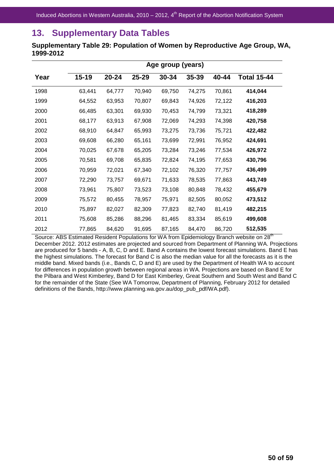# **13. Supplementary Data Tables**

**Supplementary Table 29: Population of Women by Reproductive Age Group, WA, 1999-2012** 

|      |           | Age group (years) |           |        |        |        |                    |  |  |  |
|------|-----------|-------------------|-----------|--------|--------|--------|--------------------|--|--|--|
| Year | $15 - 19$ | 20-24             | $25 - 29$ | 30-34  | 35-39  | 40-44  | <b>Total 15-44</b> |  |  |  |
| 1998 | 63,441    | 64,777            | 70,940    | 69,750 | 74,275 | 70,861 | 414,044            |  |  |  |
| 1999 | 64,552    | 63,953            | 70,807    | 69,843 | 74,926 | 72,122 | 416,203            |  |  |  |
| 2000 | 66,485    | 63,301            | 69,930    | 70,453 | 74,799 | 73,321 | 418,289            |  |  |  |
| 2001 | 68,177    | 63,913            | 67,908    | 72,069 | 74,293 | 74,398 | 420,758            |  |  |  |
| 2002 | 68,910    | 64,847            | 65,993    | 73,275 | 73,736 | 75,721 | 422,482            |  |  |  |
| 2003 | 69,608    | 66,280            | 65,161    | 73,699 | 72,991 | 76,952 | 424,691            |  |  |  |
| 2004 | 70,025    | 67,678            | 65,205    | 73,284 | 73,246 | 77,534 | 426,972            |  |  |  |
| 2005 | 70,581    | 69,708            | 65,835    | 72,824 | 74,195 | 77,653 | 430,796            |  |  |  |
| 2006 | 70,959    | 72,021            | 67,340    | 72,102 | 76,320 | 77,757 | 436,499            |  |  |  |
| 2007 | 72,290    | 73,757            | 69,671    | 71,633 | 78,535 | 77,863 | 443,749            |  |  |  |
| 2008 | 73,961    | 75,807            | 73,523    | 73,108 | 80,848 | 78,432 | 455,679            |  |  |  |
| 2009 | 75,572    | 80,455            | 78,957    | 75,971 | 82,505 | 80,052 | 473,512            |  |  |  |
| 2010 | 75,897    | 82,027            | 82,309    | 77,823 | 82,740 | 81,419 | 482,215            |  |  |  |
| 2011 | 75,608    | 85,286            | 88,296    | 81,465 | 83,334 | 85,619 | 499,608            |  |  |  |
| 2012 | 77,865    | 84,620            | 91,695    | 87,165 | 84,470 | 86,720 | 512,535            |  |  |  |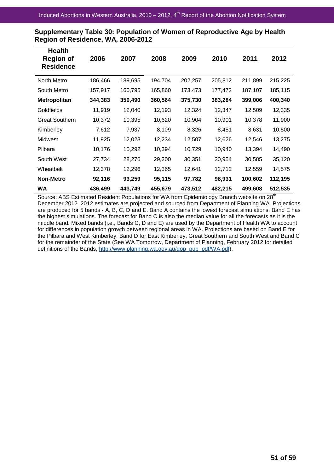| <b>Health</b><br><b>Region of</b><br><b>Residence</b> | 2006    | 2007    | 2008    | 2009    | 2010    | 2011    | 2012    |
|-------------------------------------------------------|---------|---------|---------|---------|---------|---------|---------|
| North Metro                                           | 186,466 | 189,695 | 194,704 | 202,257 | 205,812 | 211,899 | 215,225 |
| South Metro                                           | 157,917 | 160,795 | 165,860 | 173,473 | 177,472 | 187,107 | 185,115 |
| <b>Metropolitan</b>                                   | 344,383 | 350,490 | 360,564 | 375,730 | 383,284 | 399,006 | 400,340 |
| Goldfields                                            | 11,919  | 12,040  | 12,193  | 12,324  | 12,347  | 12,509  | 12,335  |
| <b>Great Southern</b>                                 | 10,372  | 10,395  | 10,620  | 10,904  | 10,901  | 10,378  | 11,900  |
| Kimberley                                             | 7,612   | 7,937   | 8,109   | 8,326   | 8,451   | 8,631   | 10,500  |
| Midwest                                               | 11,925  | 12,023  | 12,234  | 12,507  | 12,626  | 12,546  | 13,275  |
| Pilbara                                               | 10,176  | 10,292  | 10,394  | 10,729  | 10,940  | 13,394  | 14,490  |
| South West                                            | 27,734  | 28,276  | 29,200  | 30,351  | 30,954  | 30,585  | 35,120  |
| Wheatbelt                                             | 12,378  | 12,296  | 12,365  | 12,641  | 12,712  | 12,559  | 14,575  |
| <b>Non-Metro</b>                                      | 92,116  | 93,259  | 95,115  | 97,782  | 98,931  | 100,602 | 112,195 |
| <b>WA</b>                                             | 436,499 | 443,749 | 455,679 | 473,512 | 482,215 | 499,608 | 512,535 |

**Supplementary Table 30: Population of Women of Reproductive Age by Health Region of Residence, WA, 2006-2012**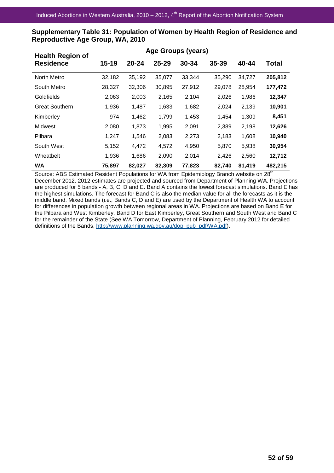| <b>Health Region of</b> |           |           |           |        |           |        |         |
|-------------------------|-----------|-----------|-----------|--------|-----------|--------|---------|
| <b>Residence</b>        | $15 - 19$ | $20 - 24$ | $25 - 29$ | 30-34  | $35 - 39$ | 40-44  | Total   |
| North Metro             | 32,182    | 35,192    | 35,077    | 33,344 | 35,290    | 34,727 | 205,812 |
| South Metro             | 28,327    | 32,306    | 30,895    | 27,912 | 29,078    | 28,954 | 177,472 |
| Goldfields              | 2,063     | 2,003     | 2,165     | 2,104  | 2,026     | 1,986  | 12,347  |
| <b>Great Southern</b>   | 1,936     | 1,487     | 1,633     | 1,682  | 2,024     | 2,139  | 10,901  |
| Kimberley               | 974       | 1,462     | 1,799     | 1,453  | 1,454     | 1,309  | 8,451   |
| <b>Midwest</b>          | 2,080     | 1,873     | 1,995     | 2,091  | 2,389     | 2,198  | 12,626  |
| Pilbara                 | 1,247     | 1,546     | 2,083     | 2,273  | 2,183     | 1,608  | 10,940  |
| South West              | 5,152     | 4,472     | 4,572     | 4,950  | 5,870     | 5,938  | 30,954  |
| Wheatbelt               | 1,936     | 1,686     | 2,090     | 2,014  | 2,426     | 2,560  | 12,712  |
| <b>WA</b>               | 75,897    | 82,027    | 82,309    | 77,823 | 82,740    | 81,419 | 482,215 |

**Supplementary Table 31: Population of Women by Health Region of Residence and Reproductive Age Group, WA, 2010**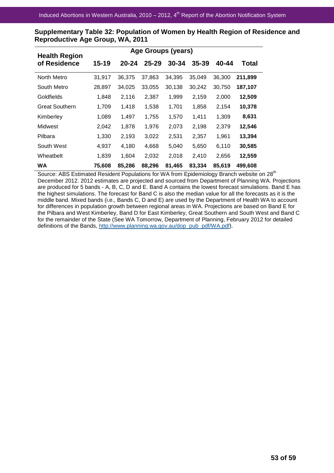| <b>Health Region</b>  |           |           |           | Age Groups (years) |           |        |         |
|-----------------------|-----------|-----------|-----------|--------------------|-----------|--------|---------|
| of Residence          | $15 - 19$ | $20 - 24$ | $25 - 29$ | 30-34              | $35 - 39$ | 40-44  | Total   |
| North Metro           | 31,917    | 36,375    | 37,863    | 34,395             | 35,049    | 36,300 | 211,899 |
| South Metro           | 28,897    | 34,025    | 33,055    | 30,138             | 30,242    | 30,750 | 187,107 |
| Goldfields            | 1,848     | 2,116     | 2,387     | 1,999              | 2,159     | 2,000  | 12,509  |
| <b>Great Southern</b> | 1,709     | 1,418     | 1,538     | 1,701              | 1,858     | 2,154  | 10,378  |
| Kimberley             | 1,089     | 1,497     | 1,755     | 1,570              | 1,411     | 1,309  | 8,631   |
| Midwest               | 2,042     | 1,878     | 1,976     | 2,073              | 2,198     | 2,379  | 12,546  |
| Pilbara               | 1,330     | 2,193     | 3,022     | 2,531              | 2,357     | 1,961  | 13,394  |
| South West            | 4,937     | 4,180     | 4,668     | 5,040              | 5,650     | 6,110  | 30,585  |
| Wheatbelt             | 1,839     | 1,604     | 2,032     | 2,018              | 2,410     | 2,656  | 12,559  |
| <b>WA</b>             | 75,608    | 85,286    | 88,296    | 81,465             | 83,334    | 85,619 | 499,608 |

**Supplementary Table 32: Population of Women by Health Region of Residence and Reproductive Age Group, WA, 2011**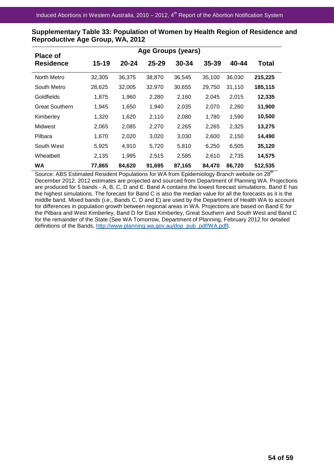| <b>Place of</b>       |           |           |           | Age Groups (years) |           |        |         |
|-----------------------|-----------|-----------|-----------|--------------------|-----------|--------|---------|
| <b>Residence</b>      | $15 - 19$ | $20 - 24$ | $25 - 29$ | 30-34              | $35 - 39$ | 40-44  | Total   |
| North Metro           | 32,305    | 36,375    | 38,870    | 36,545             | 35,100    | 36,030 | 215,225 |
| South Metro           | 28,625    | 32,005    | 32,970    | 30,655             | 29,750    | 31,110 | 185,115 |
| Goldfields            | 1,875     | 1,960     | 2,280     | 2,160              | 2,045     | 2,015  | 12,335  |
| <b>Great Southern</b> | 1,945     | 1,650     | 1,940     | 2,035              | 2,070     | 2,260  | 11,900  |
| Kimberley             | 1,320     | 1,620     | 2,110     | 2,080              | 1,780     | 1,590  | 10,500  |
| Midwest               | 2,065     | 2,085     | 2,270     | 2,265              | 2,265     | 2,325  | 13,275  |
| Pilbara               | 1,670     | 2,020     | 3,020     | 3,030              | 2,600     | 2,150  | 14,490  |
| South West            | 5,925     | 4,910     | 5,720     | 5,810              | 6,250     | 6,505  | 35,120  |
| Wheatbelt             | 2,135     | 1,995     | 2,515     | 2,585              | 2,610     | 2,735  | 14,575  |
| <b>WA</b>             | 77,865    | 84,620    | 91,695    | 87,165             | 84,470    | 86,720 | 512,535 |

**Supplementary Table 33: Population of Women by Health Region of Residence and Reproductive Age Group, WA, 2012**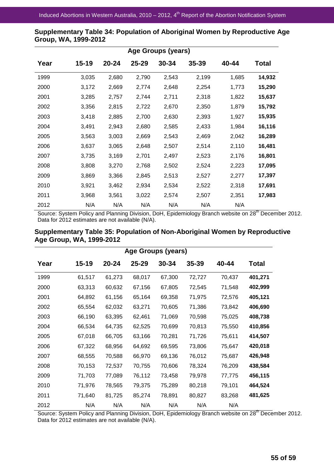|      |           |           |           | Age Groups (years) |       |       |        |
|------|-----------|-----------|-----------|--------------------|-------|-------|--------|
| Year | $15 - 19$ | $20 - 24$ | $25 - 29$ | 30-34              | 35-39 | 40-44 | Total  |
| 1999 | 3,035     | 2,680     | 2,790     | 2,543              | 2,199 | 1,685 | 14,932 |
| 2000 | 3,172     | 2,669     | 2,774     | 2,648              | 2,254 | 1,773 | 15,290 |
| 2001 | 3,285     | 2,757     | 2,744     | 2,711              | 2,318 | 1,822 | 15,637 |
| 2002 | 3,356     | 2,815     | 2,722     | 2,670              | 2,350 | 1,879 | 15,792 |
| 2003 | 3,418     | 2,885     | 2,700     | 2,630              | 2,393 | 1,927 | 15,935 |
| 2004 | 3,491     | 2,943     | 2,680     | 2,585              | 2,433 | 1,984 | 16,116 |
| 2005 | 3,563     | 3,003     | 2,669     | 2,543              | 2,469 | 2,042 | 16,289 |
| 2006 | 3,637     | 3,065     | 2,648     | 2,507              | 2,514 | 2,110 | 16,481 |
| 2007 | 3,735     | 3,169     | 2,701     | 2,497              | 2,523 | 2,176 | 16,801 |
| 2008 | 3,808     | 3,270     | 2,768     | 2,502              | 2,524 | 2,223 | 17,095 |
| 2009 | 3,869     | 3,366     | 2,845     | 2,513              | 2,527 | 2,277 | 17,397 |
| 2010 | 3,921     | 3,462     | 2,934     | 2,534              | 2,522 | 2,318 | 17,691 |
| 2011 | 3,968     | 3,561     | 3,022     | 2,574              | 2,507 | 2,351 | 17,983 |
| 2012 | N/A       | N/A       | N/A       | N/A                | N/A   | N/A   |        |

**Supplementary Table 34: Population of Aboriginal Women by Reproductive Age Group, WA, 1999-2012** 

Source: System Policy and Planning Division, DoH, Epidemiology Branch website on 28<sup>th</sup> December 2012. Data for 2012 estimates are not available (N/A).

## **Supplementary Table 35: Population of Non-Aboriginal Women by Reproductive Age Group, WA, 1999-2012**

|      |        |        |        | Age Groups (years) |           |        |              |
|------|--------|--------|--------|--------------------|-----------|--------|--------------|
| Year | 15-19  | 20-24  | 25-29  | $30 - 34$          | $35 - 39$ | 40-44  | <b>Total</b> |
| 1999 | 61,517 | 61,273 | 68,017 | 67,300             | 72,727    | 70,437 | 401,271      |
| 2000 | 63,313 | 60,632 | 67,156 | 67,805             | 72,545    | 71,548 | 402,999      |
| 2001 | 64,892 | 61,156 | 65,164 | 69,358             | 71,975    | 72,576 | 405,121      |
| 2002 | 65,554 | 62,032 | 63,271 | 70,605             | 71,386    | 73,842 | 406,690      |
| 2003 | 66,190 | 63,395 | 62,461 | 71,069             | 70,598    | 75,025 | 408,738      |
| 2004 | 66,534 | 64,735 | 62,525 | 70,699             | 70,813    | 75,550 | 410,856      |
| 2005 | 67,018 | 66,705 | 63,166 | 70,281             | 71,726    | 75,611 | 414,507      |
| 2006 | 67,322 | 68,956 | 64,692 | 69,595             | 73,806    | 75,647 | 420,018      |
| 2007 | 68,555 | 70,588 | 66,970 | 69,136             | 76,012    | 75,687 | 426,948      |
| 2008 | 70,153 | 72,537 | 70,755 | 70,606             | 78,324    | 76,209 | 438,584      |
| 2009 | 71,703 | 77,089 | 76,112 | 73,458             | 79,978    | 77,775 | 456,115      |
| 2010 | 71,976 | 78,565 | 79,375 | 75,289             | 80,218    | 79,101 | 464,524      |
| 2011 | 71,640 | 81,725 | 85,274 | 78,891             | 80,827    | 83,268 | 481,625      |
| 2012 | N/A    | N/A    | N/A    | N/A                | N/A       | N/A    |              |

Source: System Policy and Planning Division, DoH, Epidemiology Branch website on 28<sup>th</sup> December 2012. Data for 2012 estimates are not available (N/A).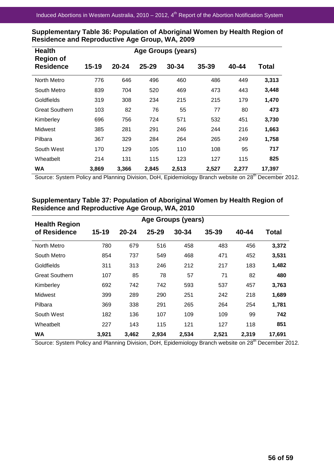| <b>Health</b>                        |           |           |           | Age Groups (years) |           |       |        |
|--------------------------------------|-----------|-----------|-----------|--------------------|-----------|-------|--------|
| <b>Region of</b><br><b>Residence</b> | $15 - 19$ | $20 - 24$ | $25 - 29$ | 30-34              | $35 - 39$ | 40-44 | Total  |
| North Metro                          | 776       | 646       | 496       | 460                | 486       | 449   | 3,313  |
| South Metro                          | 839       | 704       | 520       | 469                | 473       | 443   | 3,448  |
| Goldfields                           | 319       | 308       | 234       | 215                | 215       | 179   | 1,470  |
| <b>Great Southern</b>                | 103       | 82        | 76        | 55                 | 77        | 80    | 473    |
| Kimberley                            | 696       | 756       | 724       | 571                | 532       | 451   | 3,730  |
| Midwest                              | 385       | 281       | 291       | 246                | 244       | 216   | 1,663  |
| Pilbara                              | 367       | 329       | 284       | 264                | 265       | 249   | 1,758  |
| South West                           | 170       | 129       | 105       | 110                | 108       | 95    | 717    |
| Wheatbelt                            | 214       | 131       | 115       | 123                | 127       | 115   | 825    |
| <b>WA</b>                            | 3.869     | 3.366     | 2.845     | 2,513              | 2,527     | 2,277 | 17,397 |

**Supplementary Table 36: Population of Aboriginal Women by Health Region of Residence and Reproductive Age Group, WA, 2009** 

Source: System Policy and Planning Division, DoH, Epidemiology Branch website on 28<sup>th</sup> December 2012.

# **Supplementary Table 37: Population of Aboriginal Women by Health Region of Residence and Reproductive Age Group, WA, 2010**

| <b>Health Region</b>   |           |           |           | Age Groups (years) |           |       |        |
|------------------------|-----------|-----------|-----------|--------------------|-----------|-------|--------|
| <b>Residence</b><br>οf | $15 - 19$ | $20 - 24$ | $25 - 29$ | 30-34              | $35 - 39$ | 40-44 | Total  |
| North Metro            | 780       | 679       | 516       | 458                | 483       | 456   | 3,372  |
| South Metro            | 854       | 737       | 549       | 468                | 471       | 452   | 3,531  |
| Goldfields             | 311       | 313       | 246       | 212                | 217       | 183   | 1,482  |
| <b>Great Southern</b>  | 107       | 85        | 78        | 57                 | 71        | 82    | 480    |
| Kimberley              | 692       | 742       | 742       | 593                | 537       | 457   | 3,763  |
| Midwest                | 399       | 289       | 290       | 251                | 242       | 218   | 1,689  |
| Pilbara                | 369       | 338       | 291       | 265                | 264       | 254   | 1,781  |
| South West             | 182       | 136       | 107       | 109                | 109       | 99    | 742    |
| Wheatbelt              | 227       | 143       | 115       | 121                | 127       | 118   | 851    |
| WA                     | 3,921     | 3,462     | 2,934     | 2,534              | 2,521     | 2,319 | 17,691 |

Source: System Policy and Planning Division, DoH, Epidemiology Branch website on 28<sup>th</sup> December 2012.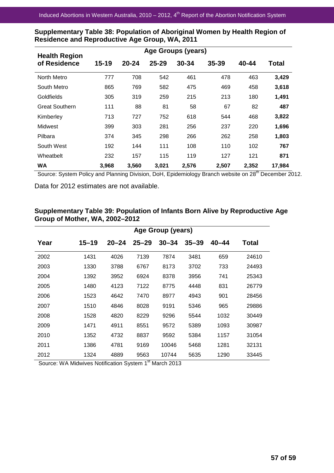| <b>Health Region</b>  |           |           |           | <b>Age Groups (years)</b> |           |       |              |
|-----------------------|-----------|-----------|-----------|---------------------------|-----------|-------|--------------|
| of Residence          | $15 - 19$ | $20 - 24$ | $25 - 29$ | 30-34                     | $35 - 39$ | 40-44 | <b>Total</b> |
| North Metro           | 777       | 708       | 542       | 461                       | 478       | 463   | 3,429        |
| South Metro           | 865       | 769       | 582       | 475                       | 469       | 458   | 3,618        |
| Goldfields            | 305       | 319       | 259       | 215                       | 213       | 180   | 1,491        |
| <b>Great Southern</b> | 111       | 88        | 81        | 58                        | 67        | 82    | 487          |
| Kimberley             | 713       | 727       | 752       | 618                       | 544       | 468   | 3,822        |
| <b>Midwest</b>        | 399       | 303       | 281       | 256                       | 237       | 220   | 1,696        |
| Pilbara               | 374       | 345       | 298       | 266                       | 262       | 258   | 1,803        |
| South West            | 192       | 144       | 111       | 108                       | 110       | 102   | 767          |
| Wheatbelt             | 232       | 157       | 115       | 119                       | 127       | 121   | 871          |
| WA                    | 3,968     | 3,560     | 3.021     | 2,576                     | 2,507     | 2.352 | 17.984       |

**Supplementary Table 38: Population of Aboriginal Women by Health Region of Residence and Reproductive Age Group, WA, 2011** 

Source: System Policy and Planning Division, DoH, Epidemiology Branch website on 28<sup>th</sup> December 2012.

Data for 2012 estimates are not available.

|      |           |           |           | Age Group (years) |           |           |       |
|------|-----------|-----------|-----------|-------------------|-----------|-----------|-------|
| Year | $15 - 19$ | $20 - 24$ | $25 - 29$ | $30 - 34$         | $35 - 39$ | $40 - 44$ | Total |
| 2002 | 1431      | 4026      | 7139      | 7874              | 3481      | 659       | 24610 |
| 2003 | 1330      | 3788      | 6767      | 8173              | 3702      | 733       | 24493 |
| 2004 | 1392      | 3952      | 6924      | 8378              | 3956      | 741       | 25343 |
| 2005 | 1480      | 4123      | 7122      | 8775              | 4448      | 831       | 26779 |
| 2006 | 1523      | 4642      | 7470      | 8977              | 4943      | 901       | 28456 |
| 2007 | 1510      | 4846      | 8028      | 9191              | 5346      | 965       | 29886 |
| 2008 | 1528      | 4820      | 8229      | 9296              | 5544      | 1032      | 30449 |
| 2009 | 1471      | 4911      | 8551      | 9572              | 5389      | 1093      | 30987 |
| 2010 | 1352      | 4732      | 8837      | 9592              | 5384      | 1157      | 31054 |
| 2011 | 1386      | 4781      | 9169      | 10046             | 5468      | 1281      | 32131 |
| 2012 | 1324      | 4889      | 9563      | 10744             | 5635      | 1290      | 33445 |

### **Supplementary Table 39: Population of Infants Born Alive by Reproductive Age Group of Mother, WA, 2002–2012**

Source: WA Midwives Notification System 1<sup>st</sup> March 2013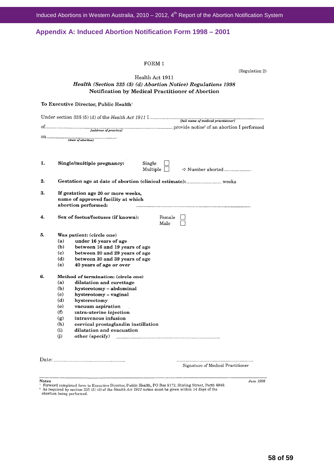# **Appendix A: Induced Abortion Notification Form 1998 – 2001**

|    |                                                                    | FORM 1<br>Health Act 1911<br>Health (Section 335 (5) (d) Abortion Notice) Regulations 1998<br>Notification by Medical Practitioner of Abortion                                                                                                                                                     |                | (Regulation 2) |
|----|--------------------------------------------------------------------|----------------------------------------------------------------------------------------------------------------------------------------------------------------------------------------------------------------------------------------------------------------------------------------------------|----------------|----------------|
|    |                                                                    | To Executive Director, Public Health'                                                                                                                                                                                                                                                              |                |                |
|    |                                                                    | Under section 335 (5) (d) of the Health Act 1911 $\frac{[full\ name\ of\ medical\ practical\ practice]}{[full\ name\ of\ medical\ practical\ practice]}$                                                                                                                                           |                |                |
|    |                                                                    | of [address of practice] [and content of practice]                                                                                                                                                                                                                                                 |                |                |
|    |                                                                    | $[date\ of\ a portion]$                                                                                                                                                                                                                                                                            |                |                |
| ı. |                                                                    | Single/multiple pregnancy:<br>Single<br>Multiple                                                                                                                                                                                                                                                   |                |                |
| 2. |                                                                    | Gestation age at date of abortion (clinical estimate): weeks                                                                                                                                                                                                                                       |                |                |
| з. |                                                                    | If gestation age 20 or more weeks,<br>name of approved facility at which<br>abortion performed:                                                                                                                                                                                                    |                |                |
| 4. |                                                                    | Sex of foetus/foetuses (if known):                                                                                                                                                                                                                                                                 | Female<br>Male |                |
| 5. | (a)<br>(b)<br>(c)<br>(d)<br>(e)                                    | Was patient: (circle one)<br>under 16 years of age<br>between 16 and 19 years of age<br>between 20 and 29 years of age<br>between 30 and 39 years of age<br>40 years of age or over                                                                                                                |                |                |
| 6. | (a)<br>(b)<br>(c)<br>(d)<br>(e)<br>(f)<br>(g)<br>(h)<br>(i)<br>(j) | Method of termination: (circle one)<br>dilatation and curettage<br>hysterotomy - abdominal<br>hysterotomy - vaginal<br>hysterectomy<br>vacuum aspiration<br>intra-uterine injection<br>intravenous infusion<br>cervical prostaglandin instillation<br>dilatation and evacuation<br>other (specify) |                |                |

Signature of Medical Practitioner

June 1998

Notes<br>
<sup>1</sup> Forward completed form to Executive Director, Public Health, PO Box 8172, Stirling Street, Perth 6849.<br>
<sup>2</sup> As required by section 335 (5) (d) of the *Health Act 1911* notice must be given within 14 days of the<br>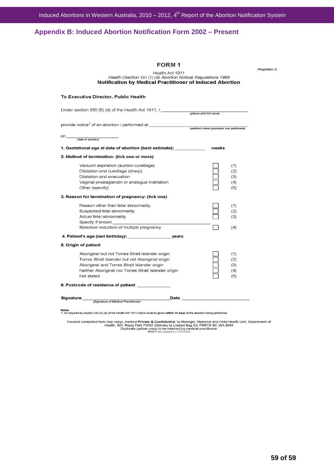# **Appendix B: Induced Abortion Notification Form 2002 – Present**

| FORM 1<br>Health Act 1911<br>Health (Section 335 (5) (d) Abortion Notice) Regulations 1998<br><b>Notification by Medical Practitioner of Induced Abortion</b>                                                              |                                 | (Regulation 2) |
|----------------------------------------------------------------------------------------------------------------------------------------------------------------------------------------------------------------------------|---------------------------------|----------------|
| To Executive Director, Public Health                                                                                                                                                                                       |                                 |                |
|                                                                                                                                                                                                                            |                                 |                |
|                                                                                                                                                                                                                            |                                 |                |
| (date of abortion)<br>on $\qquad$                                                                                                                                                                                          |                                 |                |
| 1. Gestational age at date of abortion (best estimate): ____________                                                                                                                                                       | weeks                           |                |
| 2. Method of termination: (tick one or more)                                                                                                                                                                               |                                 |                |
| Vacuum aspiration (suction curettage)<br>Dilatation and curettage (sharp)<br>Dilatation and evacuation<br>Vaginal prostaglandin or analogue instillation<br>Other (specify)                                                | (1)<br>(2)<br>(3)<br>(4)<br>(5) |                |
| 3. Reason for termination of pregnancy: (tick one)                                                                                                                                                                         |                                 |                |
| Reason other than fetal abnormality<br>Suspected fetal abnormality<br>Actual fetal abnormality<br>Specify if known and the state of the state of the state of the state of the state of the state of the state o           | (1)<br>(2)<br>(3)               |                |
| Selective reduction of multiple pregnancy                                                                                                                                                                                  | (4)                             |                |
|                                                                                                                                                                                                                            |                                 |                |
| 5. Origin of patient                                                                                                                                                                                                       |                                 |                |
| Aboriginal but not Torres Strait Islander origin<br>Torres Strait Islander but not Aboriginal origin<br>Aboriginal and Torres Strait Islander origin<br>Neither Aboriginal nor Torres Strait Islander origin<br>Not stated | (1)<br>(2)<br>(3)<br>(4)<br>(5) |                |
| 6. Postcode of residence of patientː                                                                                                                                                                                       |                                 |                |
| Signature<br>(Signature of Medical Practitioner)                                                                                                                                                                           |                                 |                |

Notes<br>1. As required by section 335 (5) (d) of the Health Act 1911 notice must be given within 14 days of the abortion being performed.

Forward completed form (top copy), marked **Private & Confidential**, to Manager, Maternal and Child Health Unit, Department of<br>Health, WA, Reply Paid 70042 (Delivery to Locked Bag 52) PERTH BC WA 6849<br>Duplicate (yellow cop